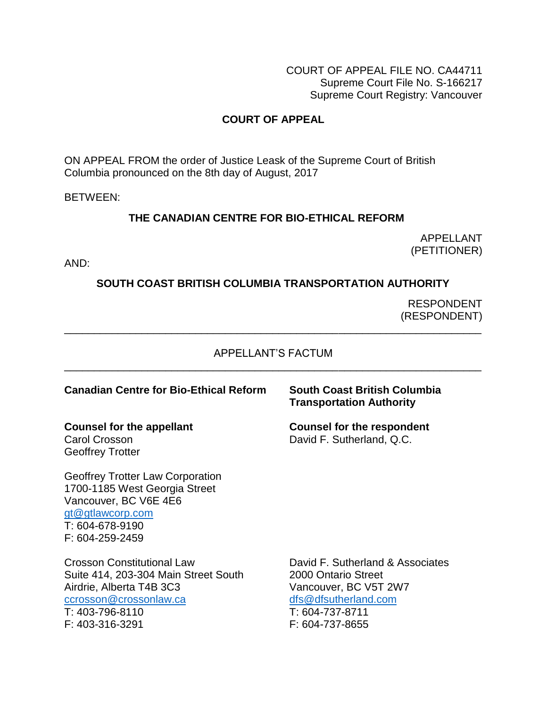COURT OF APPEAL FILE NO. CA44711 Supreme Court File No. S-166217 Supreme Court Registry: Vancouver

# **COURT OF APPEAL**

ON APPEAL FROM the order of Justice Leask of the Supreme Court of British Columbia pronounced on the 8th day of August, 2017

BETWEEN:

## **THE CANADIAN CENTRE FOR BIO-ETHICAL REFORM**

APPELLANT (PETITIONER)

AND:

## **SOUTH COAST BRITISH COLUMBIA TRANSPORTATION AUTHORITY**

 RESPONDENT (RESPONDENT)

#### APPELLANT'S FACTUM \_\_\_\_\_\_\_\_\_\_\_\_\_\_\_\_\_\_\_\_\_\_\_\_\_\_\_\_\_\_\_\_\_\_\_\_\_\_\_\_\_\_\_\_\_\_\_\_\_\_\_\_\_\_\_\_\_\_\_\_\_\_\_\_\_\_\_\_\_\_

\_\_\_\_\_\_\_\_\_\_\_\_\_\_\_\_\_\_\_\_\_\_\_\_\_\_\_\_\_\_\_\_\_\_\_\_\_\_\_\_\_\_\_\_\_\_\_\_\_\_\_\_\_\_\_\_\_\_\_\_\_\_\_\_\_\_\_\_\_\_

#### **Canadian Centre for Bio-Ethical Reform South Coast British Columbia**

Carol Crosson David F. Sutherland, Q.C. Geoffrey Trotter

Geoffrey Trotter Law Corporation 1700-1185 West Georgia Street Vancouver, BC V6E 4E6 [gt@gtlawcorp.com](mailto:gt@gtlawcorp.com) T: 604-678-9190 F: 604-259-2459

Suite 414, 203-304 Main Street South 2000 Ontario Street Airdrie, Alberta T4B 3C3 Vancouver, BC V5T 2W7 [ccrosson@crossonlaw.ca](mailto:ccrosson@crossonlaw.ca) [dfs@dfsutherland.com](mailto:dfs@dfsutherland.com) T: 403-796-8110 T: 604-737-8711 F: 403-316-3291 F: 604-737-8655

# **Transportation Authority**

**Counsel for the appellant Counsel for the respondent**

Crosson Constitutional Law David F. Sutherland & Associates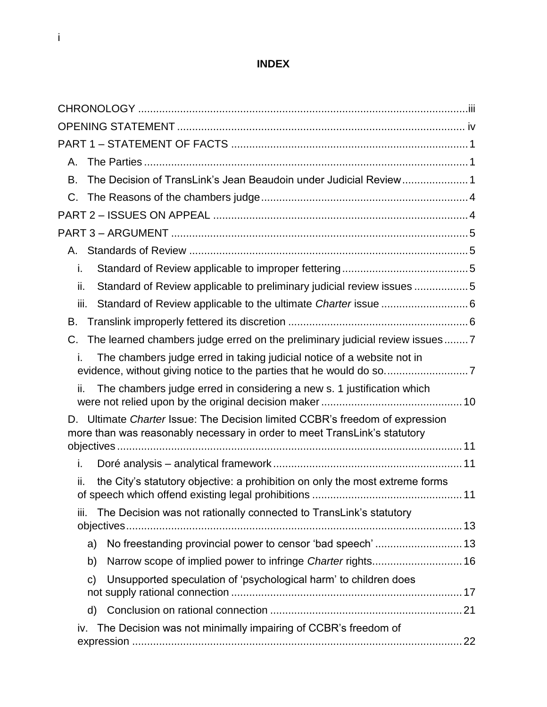# **INDEX**

| А.                                                                                                                                                           |  |
|--------------------------------------------------------------------------------------------------------------------------------------------------------------|--|
| The Decision of TransLink's Jean Beaudoin under Judicial Review 1<br>В.                                                                                      |  |
| C.                                                                                                                                                           |  |
|                                                                                                                                                              |  |
|                                                                                                                                                              |  |
|                                                                                                                                                              |  |
| i.                                                                                                                                                           |  |
| Standard of Review applicable to preliminary judicial review issues 5<br>ii.                                                                                 |  |
| iii.                                                                                                                                                         |  |
| В.                                                                                                                                                           |  |
| The learned chambers judge erred on the preliminary judicial review issues7<br>C.                                                                            |  |
| The chambers judge erred in taking judicial notice of a website not in                                                                                       |  |
| The chambers judge erred in considering a new s. 1 justification which<br>ii.                                                                                |  |
| Ultimate Charter Issue: The Decision limited CCBR's freedom of expression<br>D.<br>more than was reasonably necessary in order to meet TransLink's statutory |  |
| i.                                                                                                                                                           |  |
| the City's statutory objective: a prohibition on only the most extreme forms<br>ii.                                                                          |  |
| The Decision was not rationally connected to TransLink's statutory<br>iii.                                                                                   |  |
| a)                                                                                                                                                           |  |
| Narrow scope of implied power to infringe Charter rights 16<br>b)                                                                                            |  |
| Unsupported speculation of 'psychological harm' to children does<br>$\mathsf{C}$                                                                             |  |
| d)                                                                                                                                                           |  |
| The Decision was not minimally impairing of CCBR's freedom of<br>iv.                                                                                         |  |
|                                                                                                                                                              |  |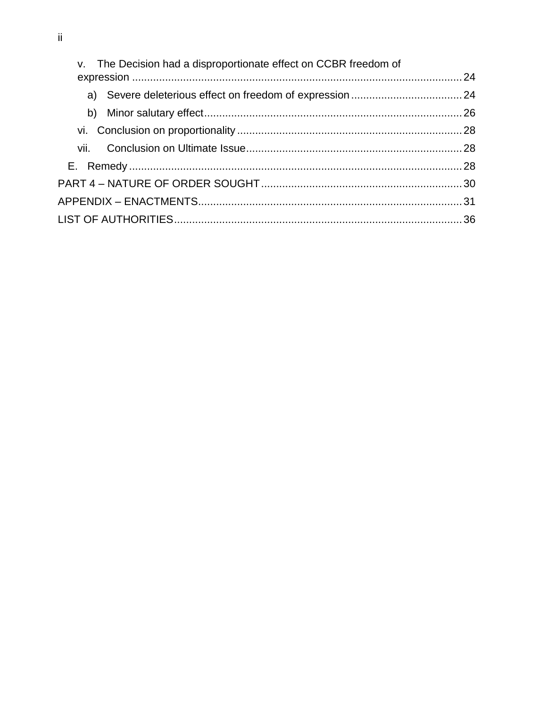| v. The Decision had a disproportionate effect on CCBR freedom of |  |
|------------------------------------------------------------------|--|
|                                                                  |  |
|                                                                  |  |
|                                                                  |  |
|                                                                  |  |
|                                                                  |  |
|                                                                  |  |
|                                                                  |  |
|                                                                  |  |
|                                                                  |  |
|                                                                  |  |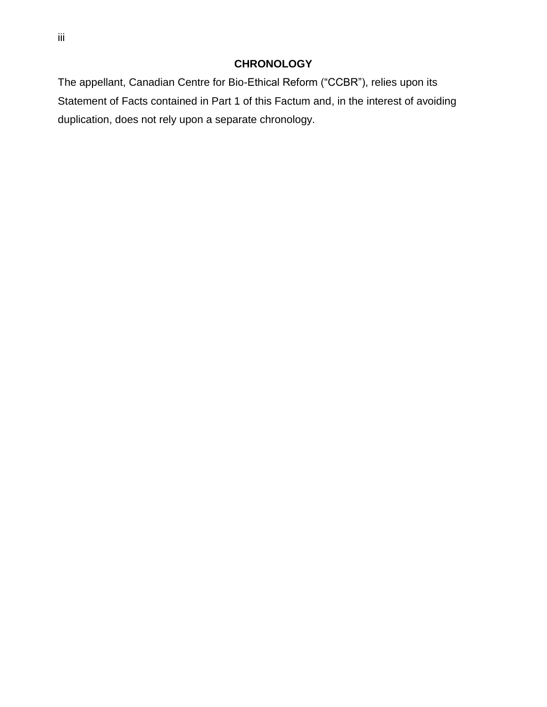# **CHRONOLOGY**

<span id="page-3-0"></span>The appellant, Canadian Centre for Bio-Ethical Reform ("CCBR"), relies upon its Statement of Facts contained in Part 1 of this Factum and, in the interest of avoiding duplication, does not rely upon a separate chronology.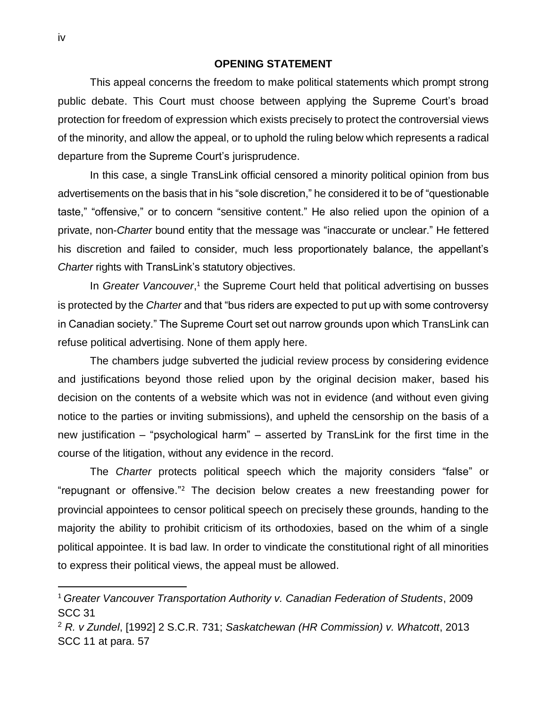#### **OPENING STATEMENT**

<span id="page-4-0"></span>This appeal concerns the freedom to make political statements which prompt strong public debate. This Court must choose between applying the Supreme Court's broad protection for freedom of expression which exists precisely to protect the controversial views of the minority, and allow the appeal, or to uphold the ruling below which represents a radical departure from the Supreme Court's jurisprudence.

In this case, a single TransLink official censored a minority political opinion from bus advertisements on the basis that in his "sole discretion," he considered it to be of "questionable taste," "offensive," or to concern "sensitive content." He also relied upon the opinion of a private, non-*Charter* bound entity that the message was "inaccurate or unclear." He fettered his discretion and failed to consider, much less proportionately balance, the appellant's *Charter* rights with TransLink's statutory objectives.

In *Greater Vancouver*,<sup>1</sup> the Supreme Court held that political advertising on busses is protected by the *Charter* and that "bus riders are expected to put up with some controversy in Canadian society." The Supreme Court set out narrow grounds upon which TransLink can refuse political advertising. None of them apply here.

The chambers judge subverted the judicial review process by considering evidence and justifications beyond those relied upon by the original decision maker, based his decision on the contents of a website which was not in evidence (and without even giving notice to the parties or inviting submissions), and upheld the censorship on the basis of a new justification – "psychological harm" – asserted by TransLink for the first time in the course of the litigation, without any evidence in the record.

The *Charter* protects political speech which the majority considers "false" or "repugnant or offensive." <sup>2</sup> The decision below creates a new freestanding power for provincial appointees to censor political speech on precisely these grounds, handing to the majority the ability to prohibit criticism of its orthodoxies, based on the whim of a single political appointee. It is bad law. In order to vindicate the constitutional right of all minorities to express their political views, the appeal must be allowed.

 $\overline{a}$ 

<sup>1</sup> *Greater Vancouver Transportation Authority v. Canadian Federation of Students*, 2009 SCC 31

<sup>2</sup> *R. v Zundel*, [1992] 2 S.C.R. 731; *Saskatchewan (HR Commission) v. Whatcott*, 2013 SCC 11 at para. 57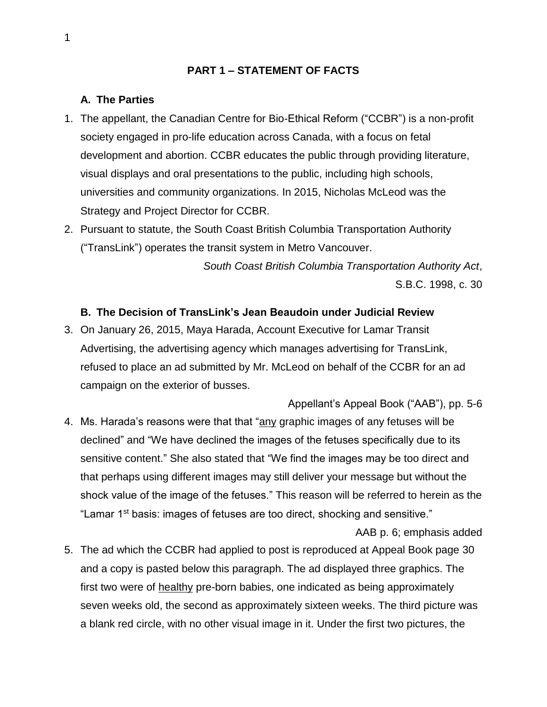## **PART 1 – STATEMENT OF FACTS**

#### <span id="page-5-1"></span><span id="page-5-0"></span>**A. The Parties**

- 1. The appellant, the Canadian Centre for Bio-Ethical Reform ("CCBR") is a non-profit society engaged in pro-life education across Canada, with a focus on fetal development and abortion. CCBR educates the public through providing literature, visual displays and oral presentations to the public, including high schools, universities and community organizations. In 2015, Nicholas McLeod was the Strategy and Project Director for CCBR.
- 2. Pursuant to statute, the South Coast British Columbia Transportation Authority ("TransLink") operates the transit system in Metro Vancouver.

 *[South Coast British Columbia Transportation Authority Act](https://www.canlii.org/en/bc/laws/stat/sbc-1998-c-30/latest/sbc-1998-c-30.html)*, [S.B.C. 1998, c. 30](https://www.canlii.org/en/bc/laws/stat/sbc-1998-c-30/latest/sbc-1998-c-30.html)

## <span id="page-5-2"></span>**B. The Decision of TransLink's Jean Beaudoin under Judicial Review**

3. On January 26, 2015, Maya Harada, Account Executive for Lamar Transit Advertising, the advertising agency which manages advertising for TransLink, refused to place an ad submitted by Mr. McLeod on behalf of the CCBR for an ad campaign on the exterior of busses.

Appellant's Appeal Book ("AAB"), pp. 5-6 4. Ms. Harada's reasons were that that "any graphic images of any fetuses will be declined" and "We have declined the images of the fetuses specifically due to its sensitive content." She also stated that "We find the images may be too direct and that perhaps using different images may still deliver your message but without the shock value of the image of the fetuses." This reason will be referred to herein as the "Lamar 1<sup>st</sup> basis: images of fetuses are too direct, shocking and sensitive."

AAB p. 6; emphasis added

5. The ad which the CCBR had applied to post is reproduced at Appeal Book page 30 and a copy is pasted below this paragraph. The ad displayed three graphics. The first two were of healthy pre-born babies, one indicated as being approximately seven weeks old, the second as approximately sixteen weeks. The third picture was a blank red circle, with no other visual image in it. Under the first two pictures, the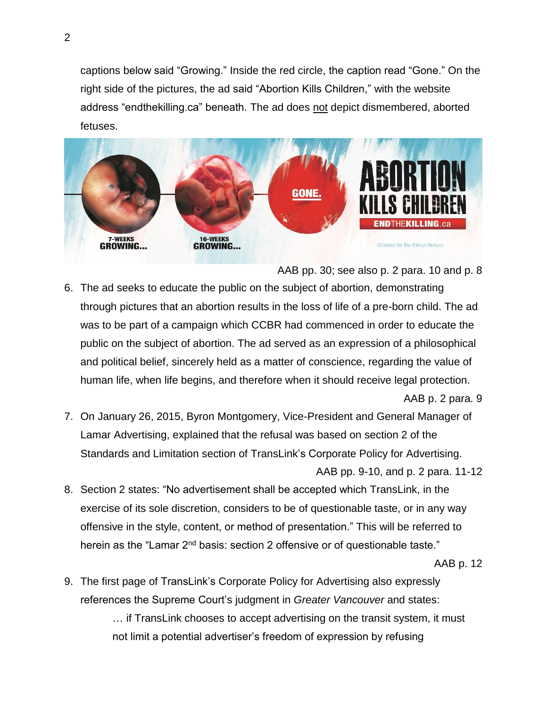captions below said "Growing." Inside the red circle, the caption read "Gone." On the right side of the pictures, the ad said "Abortion Kills Children," with the website address "endthekilling.ca" beneath. The ad does not depict dismembered, aborted fetuses.



AAB pp. 30; see also p. 2 para. 10 and p. 8

6. The ad seeks to educate the public on the subject of abortion, demonstrating through pictures that an abortion results in the loss of life of a pre-born child. The ad was to be part of a campaign which CCBR had commenced in order to educate the public on the subject of abortion. The ad served as an expression of a philosophical and political belief, sincerely held as a matter of conscience, regarding the value of human life, when life begins, and therefore when it should receive legal protection.

#### AAB p. 2 para. 9

- 7. On January 26, 2015, Byron Montgomery, Vice-President and General Manager of Lamar Advertising, explained that the refusal was based on section 2 of the Standards and Limitation section of TransLink's Corporate Policy for Advertising. AAB pp. 9-10, and p. 2 para. 11-12
- 8. Section 2 states: "No advertisement shall be accepted which TransLink, in the exercise of its sole discretion, considers to be of questionable taste, or in any way offensive in the style, content, or method of presentation." This will be referred to herein as the "Lamar  $2^{nd}$  basis: section 2 offensive or of questionable taste."

#### AAB p. 12

9. The first page of TransLink's Corporate Policy for Advertising also expressly references the Supreme Court's judgment in *Greater Vancouver* and states: … if TransLink chooses to accept advertising on the transit system, it must not limit a potential advertiser's freedom of expression by refusing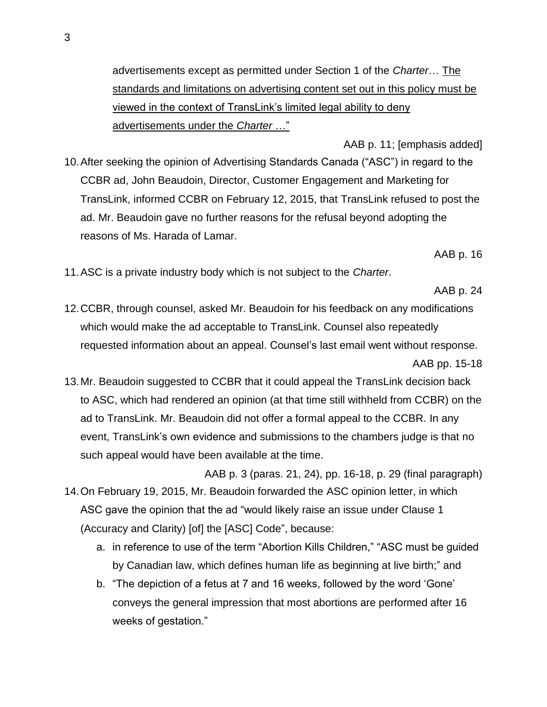advertisements except as permitted under Section 1 of the *Charter*… The standards and limitations on advertising content set out in this policy must be viewed in the context of TransLink's limited legal ability to deny advertisements under the *Charter* …"

AAB p. 11; [emphasis added] 10.After seeking the opinion of Advertising Standards Canada ("ASC") in regard to the CCBR ad, John Beaudoin, Director, Customer Engagement and Marketing for TransLink, informed CCBR on February 12, 2015, that TransLink refused to post the ad. Mr. Beaudoin gave no further reasons for the refusal beyond adopting the reasons of Ms. Harada of Lamar.

AAB p. 16

11.ASC is a private industry body which is not subject to the *Charter*.

AAB p. 24

12.CCBR, through counsel, asked Mr. Beaudoin for his feedback on any modifications which would make the ad acceptable to TransLink. Counsel also repeatedly requested information about an appeal. Counsel's last email went without response.

AAB pp. 15-18

- 13.Mr. Beaudoin suggested to CCBR that it could appeal the TransLink decision back to ASC, which had rendered an opinion (at that time still withheld from CCBR) on the ad to TransLink. Mr. Beaudoin did not offer a formal appeal to the CCBR. In any event, TransLink's own evidence and submissions to the chambers judge is that no such appeal would have been available at the time.
- AAB p. 3 (paras. 21, 24), pp. 16-18, p. 29 (final paragraph) 14.On February 19, 2015, Mr. Beaudoin forwarded the ASC opinion letter, in which ASC gave the opinion that the ad "would likely raise an issue under Clause 1 (Accuracy and Clarity) [of] the [ASC] Code", because:
	- a. in reference to use of the term "Abortion Kills Children," "ASC must be guided by Canadian law, which defines human life as beginning at live birth;" and
	- b. "The depiction of a fetus at 7 and 16 weeks, followed by the word 'Gone' conveys the general impression that most abortions are performed after 16 weeks of gestation."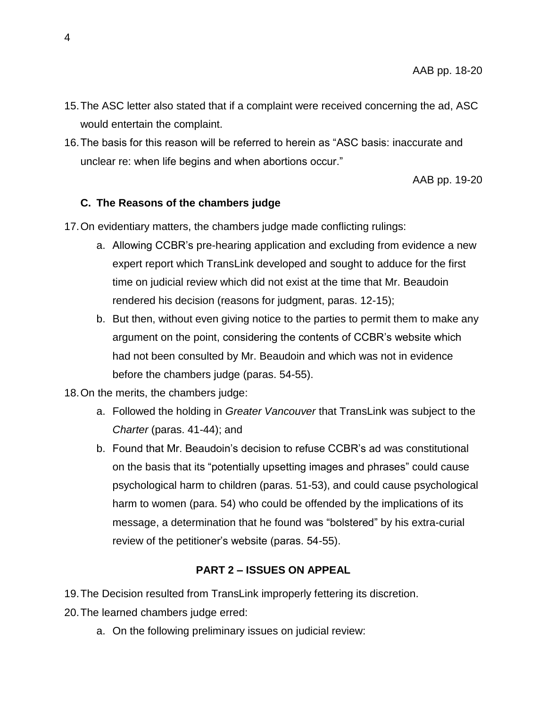- 15.The ASC letter also stated that if a complaint were received concerning the ad, ASC would entertain the complaint.
- 16.The basis for this reason will be referred to herein as "ASC basis: inaccurate and unclear re: when life begins and when abortions occur."

AAB pp. 19-20

# <span id="page-8-0"></span>**C. The Reasons of the chambers judge**

17.On evidentiary matters, the chambers judge made conflicting rulings:

- a. Allowing CCBR's pre-hearing application and excluding from evidence a new expert report which TransLink developed and sought to adduce for the first time on judicial review which did not exist at the time that Mr. Beaudoin rendered his decision (reasons for judgment, paras. 12-15);
- b. But then, without even giving notice to the parties to permit them to make any argument on the point, considering the contents of CCBR's website which had not been consulted by Mr. Beaudoin and which was not in evidence before the chambers judge (paras. 54-55).
- 18.On the merits, the chambers judge:
	- a. Followed the holding in *Greater Vancouver* that TransLink was subject to the *Charter* (paras. 41-44); and
	- b. Found that Mr. Beaudoin's decision to refuse CCBR's ad was constitutional on the basis that its "potentially upsetting images and phrases" could cause psychological harm to children (paras. 51-53), and could cause psychological harm to women (para. 54) who could be offended by the implications of its message, a determination that he found was "bolstered" by his extra-curial review of the petitioner's website (paras. 54-55).

## **PART 2 – ISSUES ON APPEAL**

<span id="page-8-1"></span>19.The Decision resulted from TransLink improperly fettering its discretion.

20.The learned chambers judge erred:

a. On the following preliminary issues on judicial review: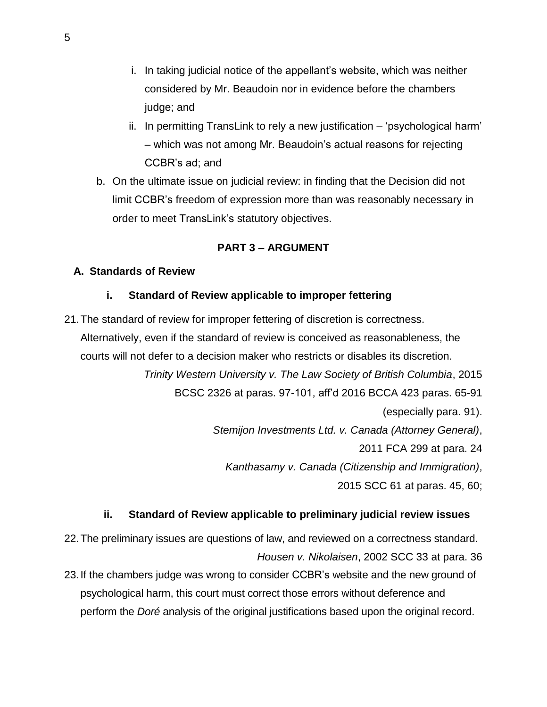- i. In taking judicial notice of the appellant's website, which was neither considered by Mr. Beaudoin nor in evidence before the chambers judge; and
- ii. In permitting TransLink to rely a new justification 'psychological harm' – which was not among Mr. Beaudoin's actual reasons for rejecting CCBR's ad; and
- b. On the ultimate issue on judicial review: in finding that the Decision did not limit CCBR's freedom of expression more than was reasonably necessary in order to meet TransLink's statutory objectives.

# **PART 3 – ARGUMENT**

## <span id="page-9-2"></span><span id="page-9-1"></span><span id="page-9-0"></span>**A. Standards of Review**

## **i. Standard of Review applicable to improper fettering**

21.The standard of review for improper fettering of discretion is correctness. Alternatively, even if the standard of review is conceived as reasonableness, the courts will not defer to a decision maker who restricts or disables its discretion. *Trinity Western University v. The Law Society of British Columbia*, 2015 BCSC 2326 at paras. 97-101, aff'd 2016 BCCA 423 paras. 65-91 (especially para. 91). *Stemijon Investments Ltd. v. Canada (Attorney General)*, 2011 FCA 299 at para. 24 *Kanthasamy v. Canada (Citizenship and Immigration)*, 2015 SCC 61 at paras. 45, 60;

## **ii. Standard of Review applicable to preliminary judicial review issues**

<span id="page-9-3"></span>22.The preliminary issues are questions of law, and reviewed on a correctness standard. *Housen v. Nikolaisen*, [2002 SCC 33](https://www.canlii.org/en/ca/scc/doc/2002/2002scc33/2002scc33.html) at para. 36

23.If the chambers judge was wrong to consider CCBR's website and the new ground of psychological harm, this court must correct those errors without deference and perform the *Doré* analysis of the original justifications based upon the original record.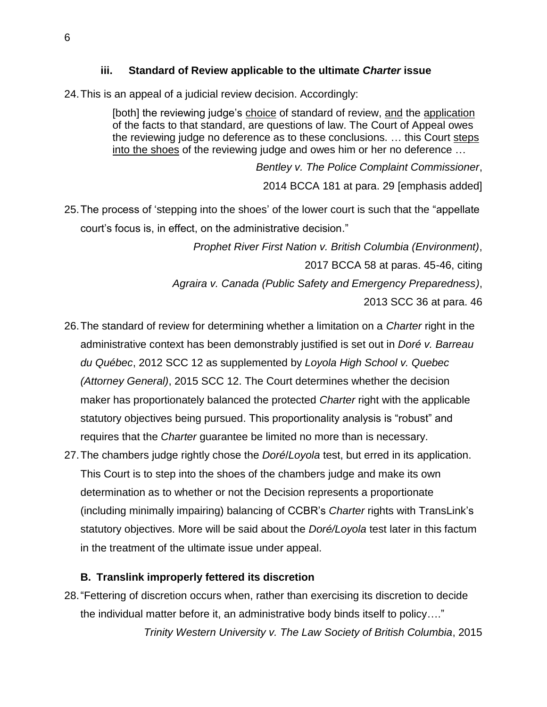## **iii. Standard of Review applicable to the ultimate** *Charter* **issue**

<span id="page-10-0"></span>24.This is an appeal of a judicial review decision. Accordingly:

[both] the reviewing judge's choice of standard of review, and the application of the facts to that standard, are questions of law. The Court of Appeal owes the reviewing judge no deference as to these conclusions. … this Court steps into the shoes of the reviewing judge and owes him or her no deference …

> *Bentley v. The Police Complaint Commissioner*, 2014 BCCA 181 at para. 29 [emphasis added]

25.The process of 'stepping into the shoes' of the lower court is such that the "appellate court's focus is, in effect, on the administrative decision."

*Prophet River First Nation v. British Columbia (Environment)*,

2017 BCCA 58 at paras. 45-46, citing

*Agraira v. Canada (Public Safety and Emergency Preparedness)*,

2013 SCC 36 at para. 46

- 26.The standard of review for determining whether a limitation on a *Charter* right in the administrative context has been demonstrably justified is set out in *Doré v. Barreau du Québec*, 2012 SCC 12 as supplemented by *Loyola High School v. Quebec (Attorney General)*, 2015 SCC 12. The Court determines whether the decision maker has proportionately balanced the protected *[Charter](https://www.canlii.org/en/ca/laws/stat/schedule-b-to-the-canada-act-1982-uk-1982-c-11/latest/schedule-b-to-the-canada-act-1982-uk-1982-c-11.html)* right with the applicable statutory objectives being pursued. This proportionality analysis is "robust" and requires that the *[Charter](https://www.canlii.org/en/ca/laws/stat/schedule-b-to-the-canada-act-1982-uk-1982-c-11/latest/schedule-b-to-the-canada-act-1982-uk-1982-c-11.html)* guarantee be limited no more than is necessary.
- 27.The chambers judge rightly chose the *Doré*/*Loyola* test, but erred in its application. This Court is to step into the shoes of the chambers judge and make its own determination as to whether or not the Decision represents a proportionate (including minimally impairing) balancing of CCBR's *Charter* rights with TransLink's statutory objectives. More will be said about the *Doré/Loyola* test later in this factum in the treatment of the ultimate issue under appeal.

## <span id="page-10-1"></span>**B. Translink improperly fettered its discretion**

28."Fettering of discretion occurs when, rather than exercising its discretion to decide the individual matter before it, an administrative body binds itself to policy…." *Trinity Western University v. The Law Society of British Columbia*, 2015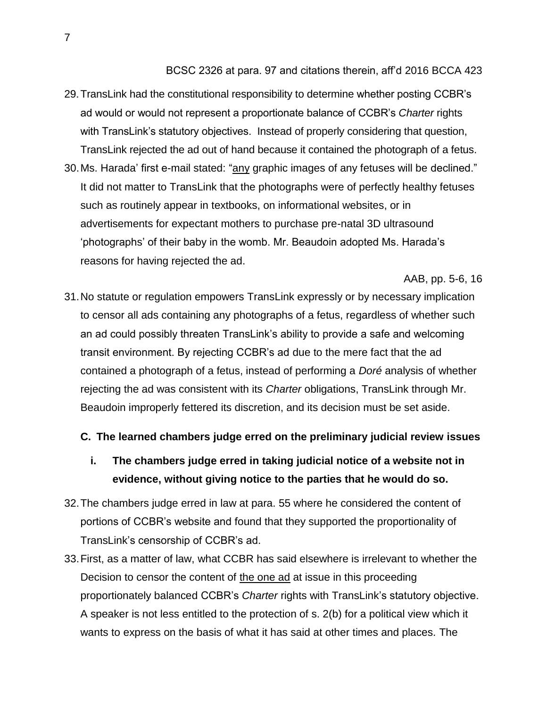BCSC 2326 at para. 97 and citations therein, aff'd 2016 BCCA 423

- 29.TransLink had the constitutional responsibility to determine whether posting CCBR's ad would or would not represent a proportionate balance of CCBR's *Charter* rights with TransLink's statutory objectives. Instead of properly considering that question, TransLink rejected the ad out of hand because it contained the photograph of a fetus.
- 30.Ms. Harada' first e-mail stated: "any graphic images of any fetuses will be declined." It did not matter to TransLink that the photographs were of perfectly healthy fetuses such as routinely appear in textbooks, on informational websites, or in advertisements for expectant mothers to purchase pre-natal 3D ultrasound 'photographs' of their baby in the womb. Mr. Beaudoin adopted Ms. Harada's reasons for having rejected the ad.

AAB, pp. 5-6, 16

31.No statute or regulation empowers TransLink expressly or by necessary implication to censor all ads containing any photographs of a fetus, regardless of whether such an ad could possibly threaten TransLink's ability to provide a safe and welcoming transit environment. By rejecting CCBR's ad due to the mere fact that the ad contained a photograph of a fetus, instead of performing a *Doré* analysis of whether rejecting the ad was consistent with its *Charter* obligations, TransLink through Mr. Beaudoin improperly fettered its discretion, and its decision must be set aside.

## <span id="page-11-0"></span>**C. The learned chambers judge erred on the preliminary judicial review issues**

- <span id="page-11-1"></span>**i. The chambers judge erred in taking judicial notice of a website not in evidence, without giving notice to the parties that he would do so.**
- 32.The chambers judge erred in law at para. 55 where he considered the content of portions of CCBR's website and found that they supported the proportionality of TransLink's censorship of CCBR's ad.
- 33.First, as a matter of law, what CCBR has said elsewhere is irrelevant to whether the Decision to censor the content of the one ad at issue in this proceeding proportionately balanced CCBR's *Charter* rights with TransLink's statutory objective. A speaker is not less entitled to the protection of s. 2(b) for a political view which it wants to express on the basis of what it has said at other times and places. The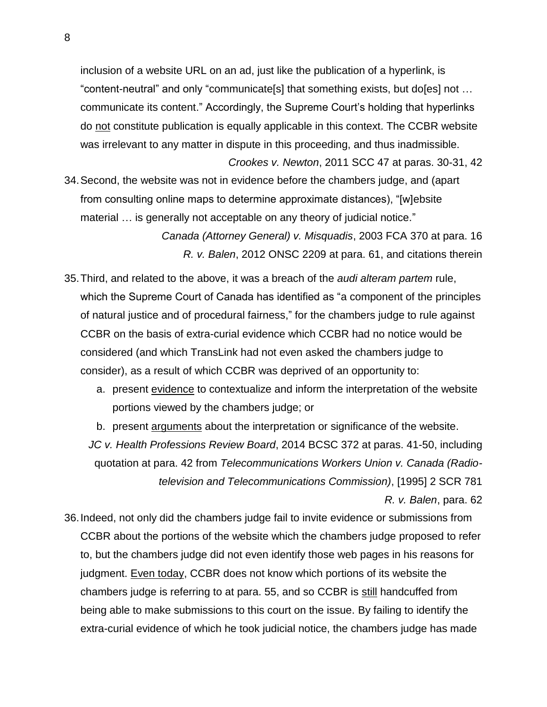inclusion of a website URL on an ad, just like the publication of a hyperlink, is "content-neutral" and only "communicate[s] that something exists, but do[es] not … communicate its content." Accordingly, the Supreme Court's holding that hyperlinks do not constitute publication is equally applicable in this context. The CCBR website was irrelevant to any matter in dispute in this proceeding, and thus inadmissible.

*Crookes v. Newton*, 2011 SCC 47 at paras. 30-31, 42 34.Second, the website was not in evidence before the chambers judge, and (apart from consulting online maps to determine approximate distances), "[w]ebsite material ... is generally not acceptable on any theory of judicial notice."

> *Canada (Attorney General) v. Misquadis*, 2003 FCA 370 at para. 16 *R. v. Balen*, 2012 ONSC 2209 at para. 61, and citations therein

- 35.Third, and related to the above, it was a breach of the *audi alteram partem* rule, which the Supreme Court of Canada has identified as "a component of the principles of natural justice and of procedural fairness," for the chambers judge to rule against CCBR on the basis of extra-curial evidence which CCBR had no notice would be considered (and which TransLink had not even asked the chambers judge to consider), as a result of which CCBR was deprived of an opportunity to:
	- a. present evidence to contextualize and inform the interpretation of the website portions viewed by the chambers judge; or

b. present arguments about the interpretation or significance of the website.

*JC v. Health Professions Review Board*, 2014 BCSC 372 at paras. 41-50, including quotation at para. 42 from *Telecommunications Workers Union v. Canada (Radiotelevision and Telecommunications Commission)*, [1995] 2 SCR 781 *R. v. Balen*, para. 62

36.Indeed, not only did the chambers judge fail to invite evidence or submissions from CCBR about the portions of the website which the chambers judge proposed to refer to, but the chambers judge did not even identify those web pages in his reasons for judgment. Even today, CCBR does not know which portions of its website the chambers judge is referring to at para. 55, and so CCBR is still handcuffed from being able to make submissions to this court on the issue. By failing to identify the extra-curial evidence of which he took judicial notice, the chambers judge has made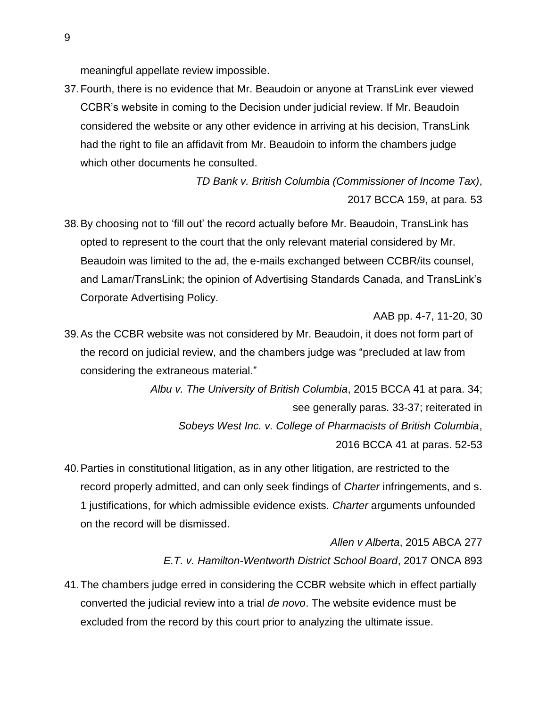meaningful appellate review impossible.

37.Fourth, there is no evidence that Mr. Beaudoin or anyone at TransLink ever viewed CCBR's website in coming to the Decision under judicial review. If Mr. Beaudoin considered the website or any other evidence in arriving at his decision, TransLink had the right to file an affidavit from Mr. Beaudoin to inform the chambers judge which other documents he consulted.

> *TD Bank v. British Columbia (Commissioner of Income Tax)*, 2017 BCCA 159, at para. 53

38.By choosing not to 'fill out' the record actually before Mr. Beaudoin, TransLink has opted to represent to the court that the only relevant material considered by Mr. Beaudoin was limited to the ad, the e-mails exchanged between CCBR/its counsel, and Lamar/TransLink; the opinion of Advertising Standards Canada, and TransLink's Corporate Advertising Policy.

AAB pp. 4-7, 11-20, 30

39.As the CCBR website was not considered by Mr. Beaudoin, it does not form part of the record on judicial review, and the chambers judge was "precluded at law from considering the extraneous material."

> *Albu v. The University of British Columbia*, 2015 BCCA 41 at para. 34; see generally paras. 33-37; reiterated in *Sobeys West Inc. v. College of Pharmacists of British Columbia*, 2016 BCCA 41 at paras. 52-53

40.Parties in constitutional litigation, as in any other litigation, are restricted to the record properly admitted, and can only seek findings of *Charter* infringements, and s. 1 justifications, for which admissible evidence exists. *Charter* arguments unfounded on the record will be dismissed.

> *Allen v Alberta*, 2015 ABCA 277 *E.T. v. Hamilton-Wentworth District School Board*, 2017 ONCA 893

41.The chambers judge erred in considering the CCBR website which in effect partially converted the judicial review into a trial *de novo*. The website evidence must be excluded from the record by this court prior to analyzing the ultimate issue.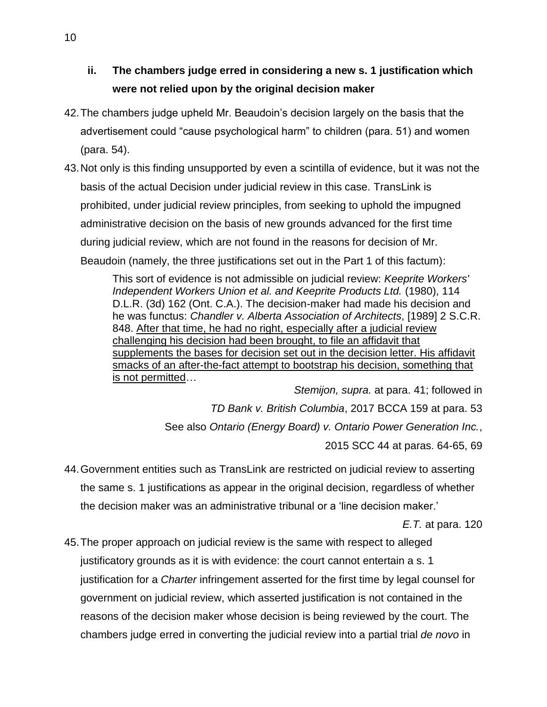- <span id="page-14-0"></span>**ii. The chambers judge erred in considering a new s. 1 justification which were not relied upon by the original decision maker**
- 42.The chambers judge upheld Mr. Beaudoin's decision largely on the basis that the advertisement could "cause psychological harm" to children (para. 51) and women (para. 54).
- <span id="page-14-1"></span>43.Not only is this finding unsupported by even a scintilla of evidence, but it was not the basis of the actual Decision under judicial review in this case. TransLink is prohibited, under judicial review principles, from seeking to uphold the impugned administrative decision on the basis of new grounds advanced for the first time during judicial review, which are not found in the reasons for decision of Mr. Beaudoin (namely, the three justifications set out in the Part 1 of this factum):

This sort of evidence is not admissible on judicial review: *Keeprite Workers' Independent Workers Union et al. and Keeprite Products Ltd.* (1980), 114 D.L.R. (3d) 162 (Ont. C.A.). The decision-maker had made his decision and he was functus: *Chandler v. Alberta Association of Architects*, [1989] 2 S.C.R. 848. After that time, he had no right, especially after a judicial review challenging his decision had been brought, to file an affidavit that supplements the bases for decision set out in the decision letter. His affidavit smacks of an after-the-fact attempt to bootstrap his decision, something that is not permitted…

*Stemijon, supra.* at para. 41; followed in *TD Bank v. British Columbia*, 2017 BCCA 159 at para. 53 See also *Ontario (Energy Board) v. Ontario Power Generation Inc.*,

2015 SCC 44 at paras. 64-65, 69 44.Government entities such as TransLink are restricted on judicial review to asserting

the same s. 1 justifications as appear in the original decision, regardless of whether the decision maker was an administrative tribunal or a 'line decision maker.'

*E.T.* at para. 120

45.The proper approach on judicial review is the same with respect to alleged justificatory grounds as it is with evidence: the court cannot entertain a s. 1 justification for a *Charter* infringement asserted for the first time by legal counsel for government on judicial review, which asserted justification is not contained in the reasons of the decision maker whose decision is being reviewed by the court. The chambers judge erred in converting the judicial review into a partial trial *de novo* in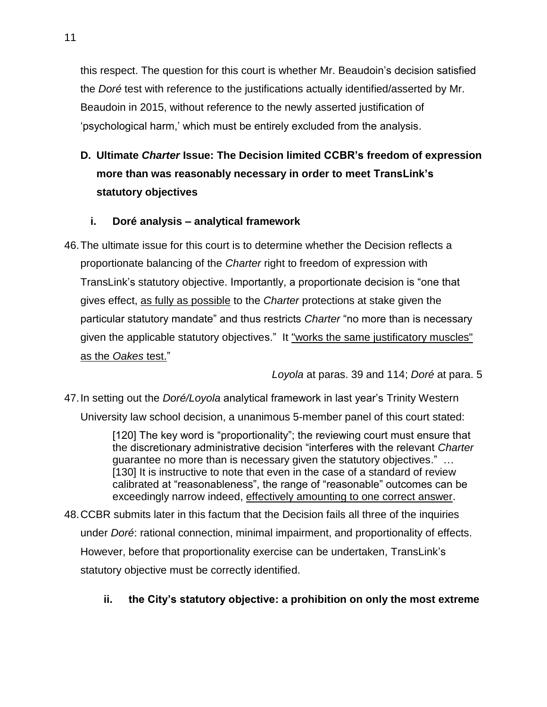this respect. The question for this court is whether Mr. Beaudoin's decision satisfied the *Doré* test with reference to the justifications actually identified/asserted by Mr. Beaudoin in 2015, without reference to the newly asserted justification of 'psychological harm,' which must be entirely excluded from the analysis.

<span id="page-15-0"></span>**D. Ultimate** *Charter* **Issue: The Decision limited CCBR's freedom of expression more than was reasonably necessary in order to meet TransLink's statutory objectives**

# <span id="page-15-1"></span>**i. Doré analysis – analytical framework**

46.The ultimate issue for this court is to determine whether the Decision reflects a proportionate balancing of the *Charter* right to freedom of expression with TransLink's statutory objective. Importantly, a proportionate decision is "one that gives effect, as fully as possible to the *Charter* protections at stake given the particular statutory mandate" and thus restricts *Charter* "no more than is necessary given the applicable statutory objectives." It "works the same justificatory muscles" as the *Oakes* test."

*Loyola* at paras. 39 and 114; *Doré* at para. 5

47.In setting out the *Doré/Loyola* analytical framework in last year's Trinity Western University law school decision, a unanimous 5-member panel of this court stated:

> [120] The key word is "proportionality"; the reviewing court must ensure that the discretionary administrative decision "interferes with the relevant *Charter* guarantee no more than is necessary given the statutory objectives." … [130] It is instructive to note that even in the case of a standard of review calibrated at "reasonableness", the range of "reasonable" outcomes can be exceedingly narrow indeed, effectively amounting to one correct answer.

48.CCBR submits later in this factum that the Decision fails all three of the inquiries under *Doré*: rational connection, minimal impairment, and proportionality of effects. However, before that proportionality exercise can be undertaken, TransLink's statutory objective must be correctly identified.

# <span id="page-15-2"></span>**ii. the City's statutory objective: a prohibition on only the most extreme**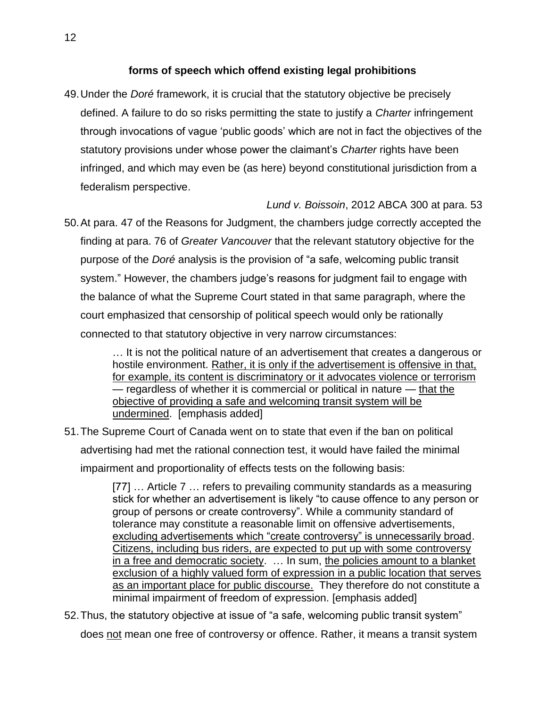# **forms of speech which offend existing legal prohibitions**

49.Under the *Doré* framework, it is crucial that the statutory objective be precisely defined. A failure to do so risks permitting the state to justify a *Charter* infringement through invocations of vague 'public goods' which are not in fact the objectives of the statutory provisions under whose power the claimant's *Charter* rights have been infringed, and which may even be (as here) beyond constitutional jurisdiction from a federalism perspective.

*Lund v. Boissoin*, 2012 ABCA 300 at para. 53

50.At para. 47 of the Reasons for Judgment, the chambers judge correctly accepted the finding at para. 76 of *Greater Vancouver* that the relevant statutory objective for the purpose of the *Doré* analysis is the provision of "a safe, welcoming public transit system." However, the chambers judge's reasons for judgment fail to engage with the balance of what the Supreme Court stated in that same paragraph, where the court emphasized that censorship of political speech would only be rationally connected to that statutory objective in very narrow circumstances:

> … It is not the political nature of an advertisement that creates a dangerous or hostile environment. Rather, it is only if the advertisement is offensive in that, for example, its content is discriminatory or it advocates violence or terrorism — regardless of whether it is commercial or political in nature — that the objective of providing a safe and welcoming transit system will be undermined. [emphasis added]

51.The Supreme Court of Canada went on to state that even if the ban on political advertising had met the rational connection test, it would have failed the minimal impairment and proportionality of effects tests on the following basis:

> [77] … Article 7 … refers to prevailing community standards as a measuring stick for whether an advertisement is likely "to cause offence to any person or group of persons or create controversy". While a community standard of tolerance may constitute a reasonable limit on offensive advertisements, excluding advertisements which "create controversy" is unnecessarily broad. Citizens, including bus riders, are expected to put up with some controversy in a free and democratic society. … In sum, the policies amount to a blanket exclusion of a highly valued form of expression in a public location that serves as an important place for public discourse. They therefore do not constitute a minimal impairment of freedom of expression. [emphasis added]

52.Thus, the statutory objective at issue of "a safe, welcoming public transit system" does not mean one free of controversy or offence. Rather, it means a transit system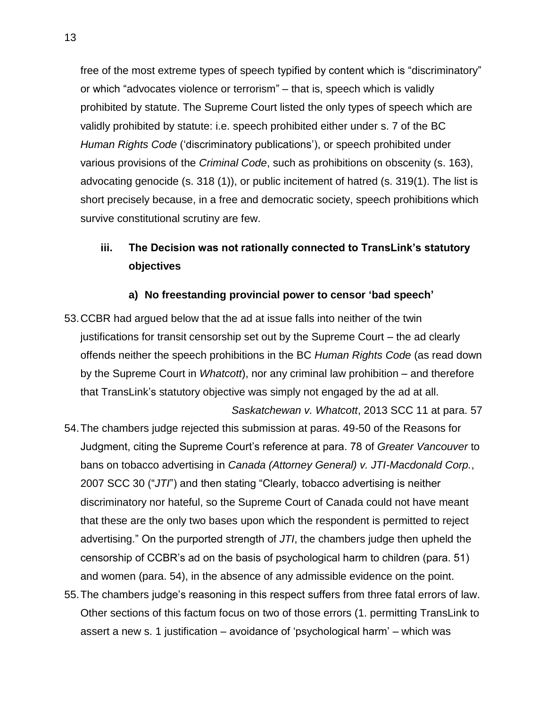free of the most extreme types of speech typified by content which is "discriminatory" or which "advocates violence or terrorism" – that is, speech which is validly prohibited by statute. The Supreme Court listed the only types of speech which are validly prohibited by statute: i.e. speech prohibited either under s. 7 of the BC *Human Rights Code* ('discriminatory publications'), or speech prohibited under various provisions of the *Criminal Code*, such as prohibitions on obscenity (s. 163), advocating genocide (s. 318 (1)), or public incitement of hatred (s. 319(1). The list is short precisely because, in a free and democratic society, speech prohibitions which survive constitutional scrutiny are few.

# <span id="page-17-0"></span>**iii. The Decision was not rationally connected to TransLink's statutory objectives**

#### **a) No freestanding provincial power to censor 'bad speech'**

- <span id="page-17-1"></span>53.CCBR had argued below that the ad at issue falls into neither of the twin justifications for transit censorship set out by the Supreme Court – the ad clearly offends neither the speech prohibitions in the BC *Human Rights Code* (as read down by the Supreme Court in *Whatcott*), nor any criminal law prohibition – and therefore that TransLink's statutory objective was simply not engaged by the ad at all.
- *Saskatchewan v. Whatcott*, 2013 SCC 11 at para. 57 54.The chambers judge rejected this submission at paras. 49-50 of the Reasons for Judgment, citing the Supreme Court's reference at para. 78 of *Greater Vancouver* to bans on tobacco advertising in *Canada (Attorney General) v. JTI-Macdonald Corp.*, 2007 SCC 30 ("*JTI*") and then stating "Clearly, tobacco advertising is neither discriminatory nor hateful, so the Supreme Court of Canada could not have meant that these are the only two bases upon which the respondent is permitted to reject advertising." On the purported strength of *JTI*, the chambers judge then upheld the censorship of CCBR's ad on the basis of psychological harm to children (para. 51) and women (para. 54), in the absence of any admissible evidence on the point.
- 55.The chambers judge's reasoning in this respect suffers from three fatal errors of law. Other sections of this factum focus on two of those errors (1. permitting TransLink to assert a new s. 1 justification – avoidance of 'psychological harm' – which was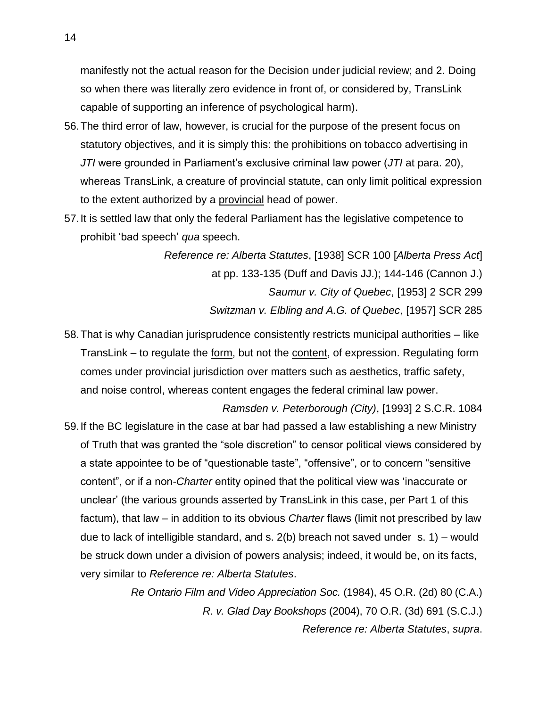manifestly not the actual reason for the Decision under judicial review; and 2. Doing so when there was literally zero evidence in front of, or considered by, TransLink capable of supporting an inference of psychological harm).

- 56.The third error of law, however, is crucial for the purpose of the present focus on statutory objectives, and it is simply this: the prohibitions on tobacco advertising in *JTI* were grounded in Parliament's exclusive criminal law power (*JTI* at para. 20), whereas TransLink, a creature of provincial statute, can only limit political expression to the extent authorized by a provincial head of power.
- 57.It is settled law that only the federal Parliament has the legislative competence to prohibit 'bad speech' *qua* speech.

*Reference re: Alberta Statutes*, [1938] SCR 100 [*Alberta Press Act*] at pp. 133-135 (Duff and Davis JJ.); 144-146 (Cannon J.) *Saumur v. City of Quebec*, [1953] 2 SCR 299 *Switzman v. Elbling and A.G. of Quebec*, [1957] SCR 285

58.That is why Canadian jurisprudence consistently restricts municipal authorities – like TransLink – to regulate the form, but not the content, of expression. Regulating form comes under provincial jurisdiction over matters such as aesthetics, traffic safety, and noise control, whereas content engages the federal criminal law power.

*Ramsden v. Peterborough (City)*, [1993] 2 S.C.R. 1084 59.If the BC legislature in the case at bar had passed a law establishing a new Ministry of Truth that was granted the "sole discretion" to censor political views considered by a state appointee to be of "questionable taste", "offensive", or to concern "sensitive content", or if a non-*Charter* entity opined that the political view was 'inaccurate or unclear' (the various grounds asserted by TransLink in this case, per Part 1 of this factum), that law – in addition to its obvious *Charter* flaws (limit not prescribed by law due to lack of intelligible standard, and s. 2(b) breach not saved under s. 1) – would be struck down under a division of powers analysis; indeed, it would be, on its facts, very similar to *Reference re: Alberta Statutes*.

> *Re Ontario Film and Video Appreciation Soc.* (1984), 45 O.R. (2d) 80 (C.A.) *R. v. Glad Day Bookshops* (2004), 70 O.R. (3d) 691 (S.C.J.) *Reference re: Alberta Statutes*, *supra*.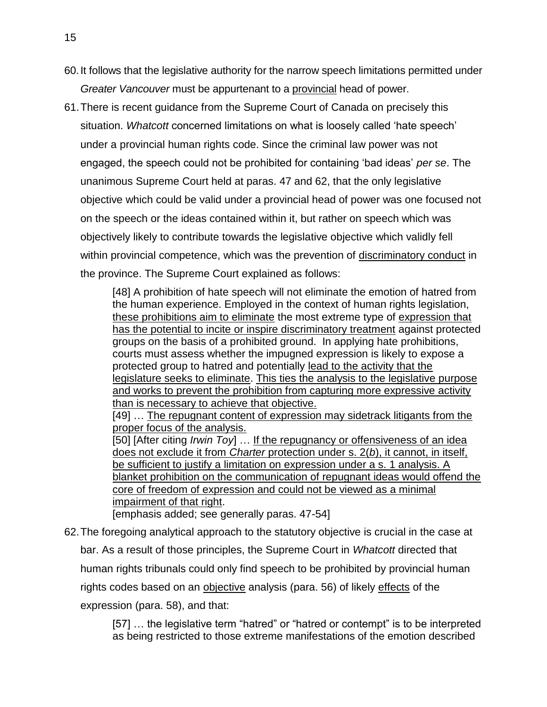- 60.It follows that the legislative authority for the narrow speech limitations permitted under *Greater Vancouver* must be appurtenant to a provincial head of power.
- 61.There is recent guidance from the Supreme Court of Canada on precisely this situation. *Whatcott* concerned limitations on what is loosely called 'hate speech' under a provincial human rights code. Since the criminal law power was not engaged, the speech could not be prohibited for containing 'bad ideas' *per se*. The unanimous Supreme Court held at paras. 47 and 62, that the only legislative objective which could be valid under a provincial head of power was one focused not on the speech or the ideas contained within it, but rather on speech which was objectively likely to contribute towards the legislative objective which validly fell within provincial competence, which was the prevention of discriminatory conduct in the province. The Supreme Court explained as follows:

[48] A prohibition of hate speech will not eliminate the emotion of hatred from the human experience. Employed in the context of human rights legislation, these prohibitions aim to eliminate the most extreme type of expression that has the potential to incite or inspire discriminatory treatment against protected groups on the basis of a prohibited ground. In applying hate prohibitions, courts must assess whether the impugned expression is likely to expose a protected group to hatred and potentially lead to the activity that the legislature seeks to eliminate. This ties the analysis to the legislative purpose and works to prevent the prohibition from capturing more expressive activity than is necessary to achieve that objective.

[49] … The repugnant content of expression may sidetrack litigants from the proper focus of the analysis.

[50] [After citing *Irwin Toy*] … If the repugnancy or offensiveness of an idea does not exclude it from *Charter* protection under s. 2(*b*), it cannot, in itself, be sufficient to justify a limitation on expression under a s. 1 analysis. A blanket prohibition on the communication of repugnant ideas would offend the core of freedom of expression and could not be viewed as a minimal impairment of that right.

[emphasis added; see generally paras. 47-54]

62.The foregoing analytical approach to the statutory objective is crucial in the case at bar. As a result of those principles, the Supreme Court in *Whatcott* directed that human rights tribunals could only find speech to be prohibited by provincial human rights codes based on an objective analysis (para. 56) of likely effects of the expression (para. 58), and that:

> [57] … the legislative term "hatred" or "hatred or contempt" is to be interpreted as being restricted to those extreme manifestations of the emotion described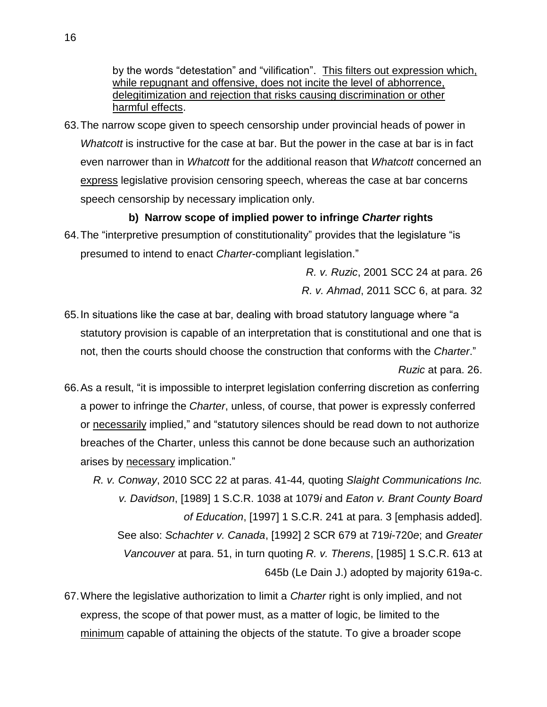by the words "detestation" and "vilification". This filters out expression which, while repugnant and offensive, does not incite the level of abhorrence, delegitimization and rejection that risks causing discrimination or other harmful effects.

63.The narrow scope given to speech censorship under provincial heads of power in *Whatcott* is instructive for the case at bar. But the power in the case at bar is in fact even narrower than in *Whatcott* for the additional reason that *Whatcott* concerned an express legislative provision censoring speech, whereas the case at bar concerns speech censorship by necessary implication only.

# **b) Narrow scope of implied power to infringe** *Charter* **rights**

<span id="page-20-0"></span>64.The "interpretive presumption of constitutionality" provides that the legislature "is presumed to intend to enact *Charter*-compliant legislation."

> *R. v. Ruzic*, 2001 SCC 24 at para. 26 *R. v. Ahmad*, 2011 SCC 6, at para. 32

- 65.In situations like the case at bar, dealing with broad statutory language where "a statutory provision is capable of an interpretation that is constitutional and one that is not, then the courts should choose the construction that conforms with the *Charter*." *Ruzic* at para. 26.
- 66.As a result, "it is impossible to interpret legislation conferring discretion as conferring a power to infringe the *Charter*, unless, of course, that power is expressly conferred or necessarily implied," and "statutory silences should be read down to not authorize breaches of the Charter, unless this cannot be done because such an authorization arises by necessary implication."

*R. v. Conway*, 2010 SCC 22 at paras. 41-44*,* quoting *Slaight Communications Inc. v. Davidson*, [1989] 1 S.C.R. 1038 at 1079*i* and *Eaton v. Brant County Board of Education*, [1997] 1 S.C.R. 241 at para. 3 [emphasis added]. See also: *Schachter v. Canada*, [1992] 2 SCR 679 at 719*i*-720*e*; and *Greater Vancouver* at para. 51, in turn quoting *R. v. Therens*, [1985] 1 S.C.R. 613 at 645b (Le Dain J.) adopted by majority 619a-c.

67.Where the legislative authorization to limit a *Charter* right is only implied, and not express, the scope of that power must, as a matter of logic, be limited to the minimum capable of attaining the objects of the statute. To give a broader scope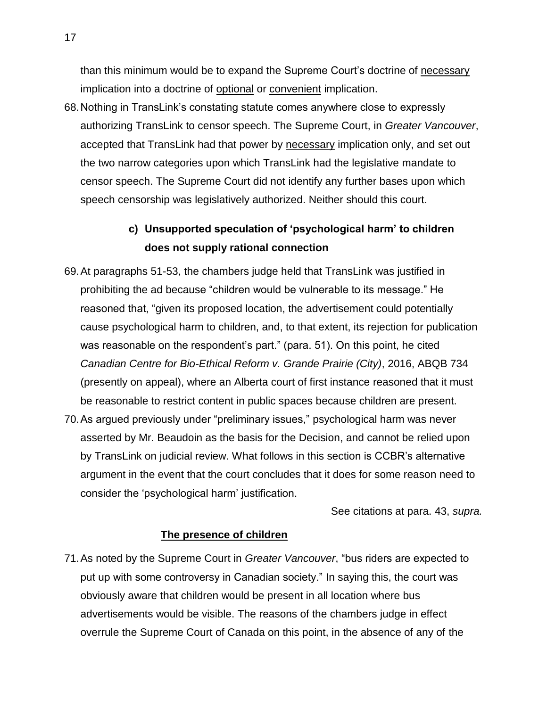than this minimum would be to expand the Supreme Court's doctrine of necessary implication into a doctrine of optional or convenient implication.

68.Nothing in TransLink's constating statute comes anywhere close to expressly authorizing TransLink to censor speech. The Supreme Court, in *Greater Vancouver*, accepted that TransLink had that power by necessary implication only, and set out the two narrow categories upon which TransLink had the legislative mandate to censor speech. The Supreme Court did not identify any further bases upon which speech censorship was legislatively authorized. Neither should this court.

# **c) Unsupported speculation of 'psychological harm' to children does not supply rational connection**

- <span id="page-21-0"></span>69.At paragraphs 51-53, the chambers judge held that TransLink was justified in prohibiting the ad because "children would be vulnerable to its message." He reasoned that, "given its proposed location, the advertisement could potentially cause psychological harm to children, and, to that extent, its rejection for publication was reasonable on the respondent's part." (para. 51). On this point, he cited *Canadian Centre for Bio-Ethical Reform v. Grande Prairie (City)*, 2016, ABQB 734 (presently on appeal), where an Alberta court of first instance reasoned that it must be reasonable to restrict content in public spaces because children are present.
- 70.As argued previously under "preliminary issues," psychological harm was never asserted by Mr. Beaudoin as the basis for the Decision, and cannot be relied upon by TransLink on judicial review. What follows in this section is CCBR's alternative argument in the event that the court concludes that it does for some reason need to consider the 'psychological harm' justification.

See citations at para. [43,](#page-14-1) *supra.*

## **The presence of children**

71.As noted by the Supreme Court in *Greater Vancouver*, "bus riders are expected to put up with some controversy in Canadian society." In saying this, the court was obviously aware that children would be present in all location where bus advertisements would be visible. The reasons of the chambers judge in effect overrule the Supreme Court of Canada on this point, in the absence of any of the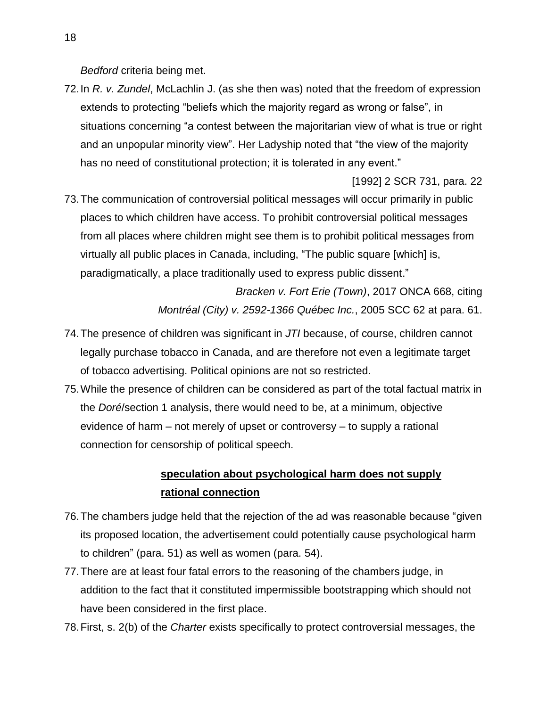*Bedford* criteria being met.

72.In *R. v. Zundel*, McLachlin J. (as she then was) noted that the freedom of expression extends to protecting "beliefs which the majority regard as wrong or false", in situations concerning "a contest between the majoritarian view of what is true or right and an unpopular minority view". Her Ladyship noted that "the view of the majority has no need of constitutional protection; it is tolerated in any event."

[1992] 2 SCR 731, para. 22

73.The communication of controversial political messages will occur primarily in public places to which children have access. To prohibit controversial political messages from all places where children might see them is to prohibit political messages from virtually all public places in Canada, including, "The public square [which] is, paradigmatically, a place traditionally used to express public dissent."

> *Bracken v. Fort Erie (Town)*, 2017 ONCA 668, citing *Montréal (City) v. 2592-1366 Québec Inc.*, 2005 SCC 62 at para. 61.

- 74.The presence of children was significant in *JTI* because, of course, children cannot legally purchase tobacco in Canada, and are therefore not even a legitimate target of tobacco advertising. Political opinions are not so restricted.
- 75.While the presence of children can be considered as part of the total factual matrix in the *Doré*/section 1 analysis, there would need to be, at a minimum, objective evidence of harm – not merely of upset or controversy – to supply a rational connection for censorship of political speech.

# **speculation about psychological harm does not supply rational connection**

- 76.The chambers judge held that the rejection of the ad was reasonable because "given its proposed location, the advertisement could potentially cause psychological harm to children" (para. 51) as well as women (para. 54).
- 77.There are at least four fatal errors to the reasoning of the chambers judge, in addition to the fact that it constituted impermissible bootstrapping which should not have been considered in the first place.
- 78.First, s. 2(b) of the *Charter* exists specifically to protect controversial messages, the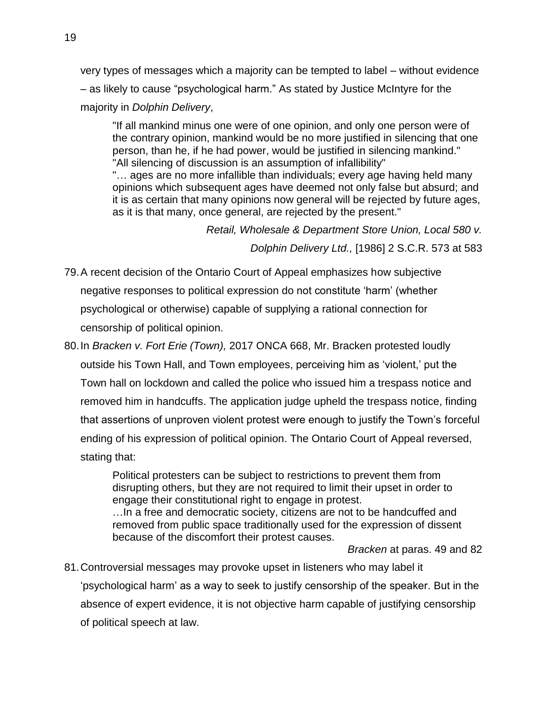very types of messages which a majority can be tempted to label – without evidence – as likely to cause "psychological harm." As stated by Justice McIntyre for the majority in *Dolphin Delivery*,

"If all mankind minus one were of one opinion, and only one person were of the contrary opinion, mankind would be no more justified in silencing that one person, than he, if he had power, would be justified in silencing mankind." "All silencing of discussion is an assumption of infallibility"

"… ages are no more infallible than individuals; every age having held many opinions which subsequent ages have deemed not only false but absurd; and it is as certain that many opinions now general will be rejected by future ages, as it is that many, once general, are rejected by the present."

> *Retail, Wholesale & Department Store Union, Local 580 v. Dolphin Delivery Ltd.,* [1986] 2 S.C.R. 573 at 583

- 79.A recent decision of the Ontario Court of Appeal emphasizes how subjective negative responses to political expression do not constitute 'harm' (whether psychological or otherwise) capable of supplying a rational connection for censorship of political opinion.
- 80.In *Bracken v. Fort Erie (Town),* 2017 ONCA 668, Mr. Bracken protested loudly outside his Town Hall, and Town employees, perceiving him as 'violent,' put the Town hall on lockdown and called the police who issued him a trespass notice and removed him in handcuffs. The application judge upheld the trespass notice, finding that assertions of unproven violent protest were enough to justify the Town's forceful ending of his expression of political opinion. The Ontario Court of Appeal reversed, stating that:

Political protesters can be subject to restrictions to prevent them from disrupting others, but they are not required to limit their upset in order to engage their constitutional right to engage in protest. …In a free and democratic society, citizens are not to be handcuffed and removed from public space traditionally used for the expression of dissent because of the discomfort their protest causes.

*Bracken* at paras. 49 and 82

81.Controversial messages may provoke upset in listeners who may label it 'psychological harm' as a way to seek to justify censorship of the speaker. But in the absence of expert evidence, it is not objective harm capable of justifying censorship of political speech at law.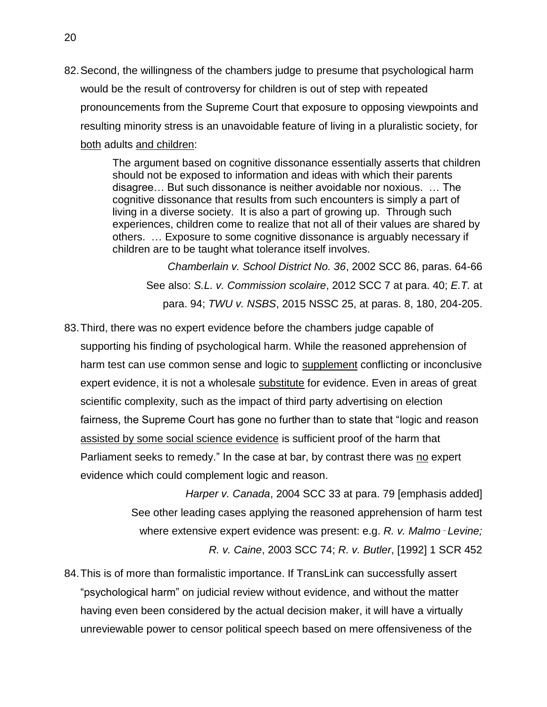82.Second, the willingness of the chambers judge to presume that psychological harm would be the result of controversy for children is out of step with repeated pronouncements from the Supreme Court that exposure to opposing viewpoints and resulting minority stress is an unavoidable feature of living in a pluralistic society, for both adults and children:

> The argument based on cognitive dissonance essentially asserts that children should not be exposed to information and ideas with which their parents disagree… But such dissonance is neither avoidable nor noxious. … The cognitive dissonance that results from such encounters is simply a part of living in a diverse society. It is also a part of growing up. Through such experiences, children come to realize that not all of their values are shared by others. … Exposure to some cognitive dissonance is arguably necessary if children are to be taught what tolerance itself involves.

*Chamberlain v. School District No. 36*, 2002 SCC 86, paras. 64-66 See also: *S.L. v. Commission scolaire*, 2012 SCC 7 at para. 40; *E.T.* at para. 94; *TWU v. NSBS*, 2015 NSSC 25, at paras. 8, 180, 204-205.

83.Third, there was no expert evidence before the chambers judge capable of supporting his finding of psychological harm. While the reasoned apprehension of harm test can use common sense and logic to supplement conflicting or inconclusive expert evidence, it is not a wholesale substitute for evidence. Even in areas of great scientific complexity, such as the impact of third party advertising on election fairness, the Supreme Court has gone no further than to state that "logic and reason assisted by some social science evidence is sufficient proof of the harm that Parliament seeks to remedy." In the case at bar, by contrast there was no expert evidence which could complement logic and reason.

> *Harper v. Canada*, 2004 SCC 33 at para. 79 [emphasis added] See other leading cases applying the reasoned apprehension of harm test where extensive expert evidence was present: e.g. R. v. Malmo - Levine; *R. v. Caine*, 2003 SCC 74; *R. v. Butler*, [1992] 1 SCR 452

84.This is of more than formalistic importance. If TransLink can successfully assert "psychological harm" on judicial review without evidence, and without the matter having even been considered by the actual decision maker, it will have a virtually unreviewable power to censor political speech based on mere offensiveness of the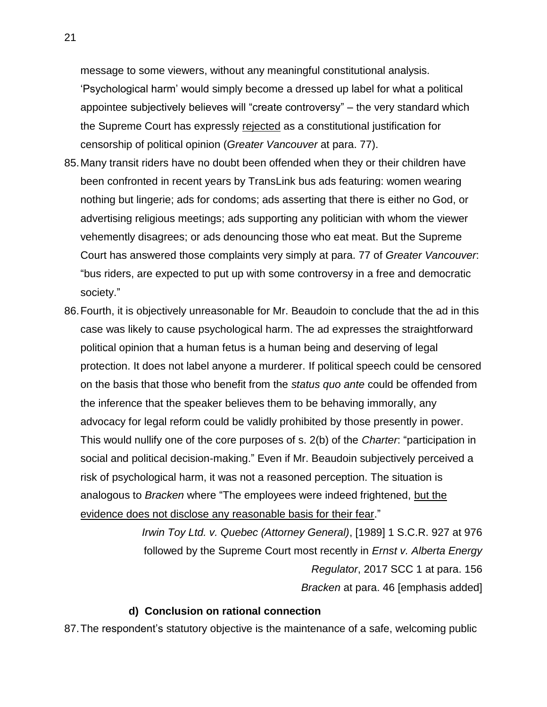message to some viewers, without any meaningful constitutional analysis. 'Psychological harm' would simply become a dressed up label for what a political appointee subjectively believes will "create controversy" – the very standard which the Supreme Court has expressly rejected as a constitutional justification for censorship of political opinion (*Greater Vancouver* at para. 77).

- 85.Many transit riders have no doubt been offended when they or their children have been confronted in recent years by TransLink bus ads featuring: women wearing nothing but lingerie; ads for condoms; ads asserting that there is either no God, or advertising religious meetings; ads supporting any politician with whom the viewer vehemently disagrees; or ads denouncing those who eat meat. But the Supreme Court has answered those complaints very simply at para. 77 of *Greater Vancouver*: "bus riders, are expected to put up with some controversy in a free and democratic society."
- 86.Fourth, it is objectively unreasonable for Mr. Beaudoin to conclude that the ad in this case was likely to cause psychological harm. The ad expresses the straightforward political opinion that a human fetus is a human being and deserving of legal protection. It does not label anyone a murderer. If political speech could be censored on the basis that those who benefit from the *status quo ante* could be offended from the inference that the speaker believes them to be behaving immorally, any advocacy for legal reform could be validly prohibited by those presently in power. This would nullify one of the core purposes of s. 2(b) of the *Charter*: "participation in social and political decision-making." Even if Mr. Beaudoin subjectively perceived a risk of psychological harm, it was not a reasoned perception. The situation is analogous to *Bracken* where "The employees were indeed frightened, but the evidence does not disclose any reasonable basis for their fear."

*Irwin Toy Ltd. v. Quebec (Attorney General)*, [1989] 1 S.C.R. 927 at 976 followed by the Supreme Court most recently in *Ernst v. Alberta Energy Regulator*, 2017 SCC 1 at para. 156 *Bracken* at para. 46 [emphasis added]

#### **d) Conclusion on rational connection**

<span id="page-25-0"></span>87.The respondent's statutory objective is the maintenance of a safe, welcoming public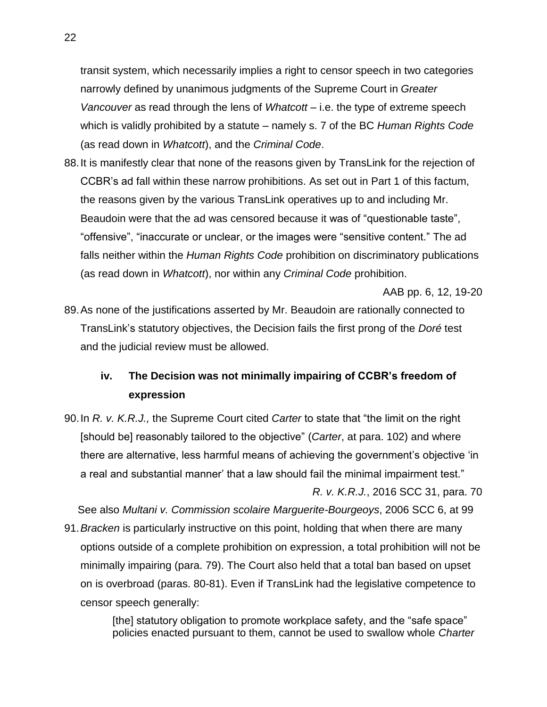transit system, which necessarily implies a right to censor speech in two categories narrowly defined by unanimous judgments of the Supreme Court in *Greater Vancouver* as read through the lens of *Whatcott* – i.e. the type of extreme speech which is validly prohibited by a statute – namely s. 7 of the BC *Human Rights Code* (as read down in *Whatcott*), and the *Criminal Code*.

88.It is manifestly clear that none of the reasons given by TransLink for the rejection of CCBR's ad fall within these narrow prohibitions. As set out in Part 1 of this factum, the reasons given by the various TransLink operatives up to and including Mr. Beaudoin were that the ad was censored because it was of "questionable taste", "offensive", "inaccurate or unclear, or the images were "sensitive content." The ad falls neither within the *Human Rights Code* prohibition on discriminatory publications (as read down in *Whatcott*), nor within any *Criminal Code* prohibition.

AAB pp. 6, 12, 19-20

89.As none of the justifications asserted by Mr. Beaudoin are rationally connected to TransLink's statutory objectives, the Decision fails the first prong of the *Doré* test and the judicial review must be allowed.

# <span id="page-26-0"></span>**iv. The Decision was not minimally impairing of CCBR's freedom of expression**

90.In *R. v. K.R.J.,* the Supreme Court cited *Carter* to state that "the limit on the right [should be] reasonably tailored to the objective" (*Carter*, at para. 102) and where there are alternative, less harmful means of achieving the government's objective 'in a real and substantial manner' that a law should fail the minimal impairment test." *R. v. K.R.J.*, 2016 SCC 31, para. 70

See also *Multani v. Commission scolaire Marguerite-Bourgeoys*, 2006 SCC 6, at 99

91.*Bracken* is particularly instructive on this point, holding that when there are many options outside of a complete prohibition on expression, a total prohibition will not be minimally impairing (para. 79). The Court also held that a total ban based on upset on is overbroad (paras. 80-81). Even if TransLink had the legislative competence to censor speech generally:

> [the] statutory obligation to promote workplace safety, and the "safe space" policies enacted pursuant to them, cannot be used to swallow whole *Charter*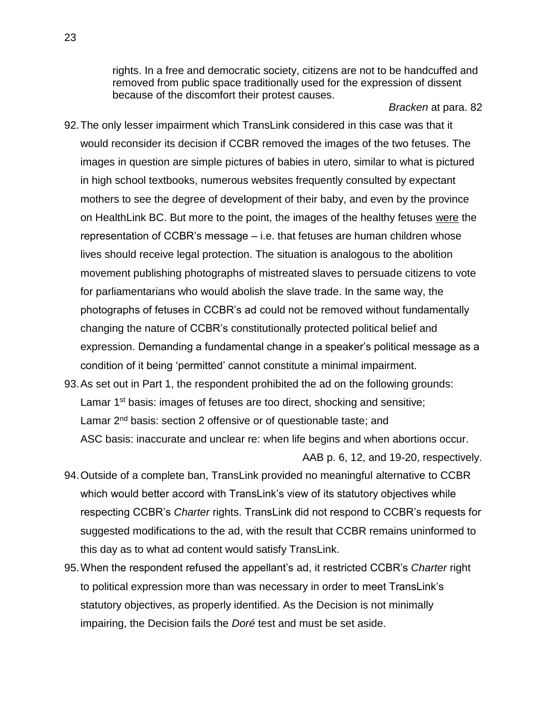rights. In a free and democratic society, citizens are not to be handcuffed and removed from public space traditionally used for the expression of dissent because of the discomfort their protest causes.

*Bracken* at para. 82

- 92.The only lesser impairment which TransLink considered in this case was that it would reconsider its decision if CCBR removed the images of the two fetuses. The images in question are simple pictures of babies in utero, similar to what is pictured in high school textbooks, numerous websites frequently consulted by expectant mothers to see the degree of development of their baby, and even by the province on HealthLink BC. But more to the point, the images of the healthy fetuses were the representation of CCBR's message – i.e. that fetuses are human children whose lives should receive legal protection. The situation is analogous to the abolition movement publishing photographs of mistreated slaves to persuade citizens to vote for parliamentarians who would abolish the slave trade. In the same way, the photographs of fetuses in CCBR's ad could not be removed without fundamentally changing the nature of CCBR's constitutionally protected political belief and expression. Demanding a fundamental change in a speaker's political message as a condition of it being 'permitted' cannot constitute a minimal impairment.
- 93.As set out in Part 1, the respondent prohibited the ad on the following grounds: Lamar 1<sup>st</sup> basis: images of fetuses are too direct, shocking and sensitive; Lamar 2<sup>nd</sup> basis: section 2 offensive or of questionable taste; and ASC basis: inaccurate and unclear re: when life begins and when abortions occur. AAB p. 6, 12, and 19-20, respectively.
- 94.Outside of a complete ban, TransLink provided no meaningful alternative to CCBR which would better accord with TransLink's view of its statutory objectives while respecting CCBR's *Charter* rights. TransLink did not respond to CCBR's requests for suggested modifications to the ad, with the result that CCBR remains uninformed to this day as to what ad content would satisfy TransLink.
- 95.When the respondent refused the appellant's ad, it restricted CCBR's *Charter* right to political expression more than was necessary in order to meet TransLink's statutory objectives, as properly identified. As the Decision is not minimally impairing, the Decision fails the *Doré* test and must be set aside.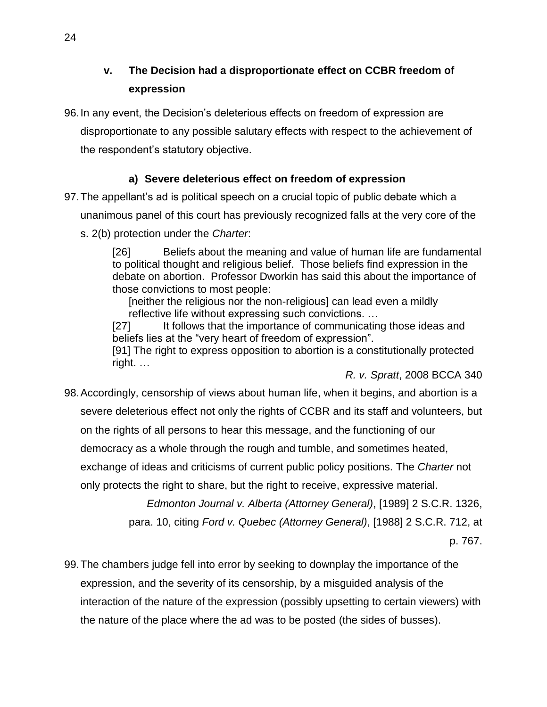<span id="page-28-0"></span>**v. The Decision had a disproportionate effect on CCBR freedom of expression**

96.In any event, the Decision's deleterious effects on freedom of expression are disproportionate to any possible salutary effects with respect to the achievement of the respondent's statutory objective.

# **a) Severe deleterious effect on freedom of expression**

<span id="page-28-1"></span>97.The appellant's ad is political speech on a crucial topic of public debate which a

unanimous panel of this court has previously recognized falls at the very core of the

s. 2(b) protection under the *Charter*:

[26] Beliefs about the meaning and value of human life are fundamental to political thought and religious belief. Those beliefs find expression in the debate on abortion. Professor Dworkin has said this about the importance of those convictions to most people:

[neither the religious nor the non-religious] can lead even a mildly reflective life without expressing such convictions. …

[27] It follows that the importance of communicating those ideas and beliefs lies at the "very heart of freedom of expression".

[91] The right to express opposition to abortion is a constitutionally protected right. …

*R. v. Spratt*, 2008 BCCA 340

98.Accordingly, censorship of views about human life, when it begins, and abortion is a severe deleterious effect not only the rights of CCBR and its staff and volunteers, but on the rights of all persons to hear this message, and the functioning of our democracy as a whole through the rough and tumble, and sometimes heated, exchange of ideas and criticisms of current public policy positions. The *Charter* not only protects the right to share, but the right to receive, expressive material.

*Edmonton Journal v. Alberta (Attorney General)*, [1989] 2 S.C.R. 1326,

para. 10, citing *Ford v. Quebec (Attorney General)*, [1988] 2 S.C.R. 712, at

p. 767.

99.The chambers judge fell into error by seeking to downplay the importance of the expression, and the severity of its censorship, by a misguided analysis of the interaction of the nature of the expression (possibly upsetting to certain viewers) with the nature of the place where the ad was to be posted (the sides of busses).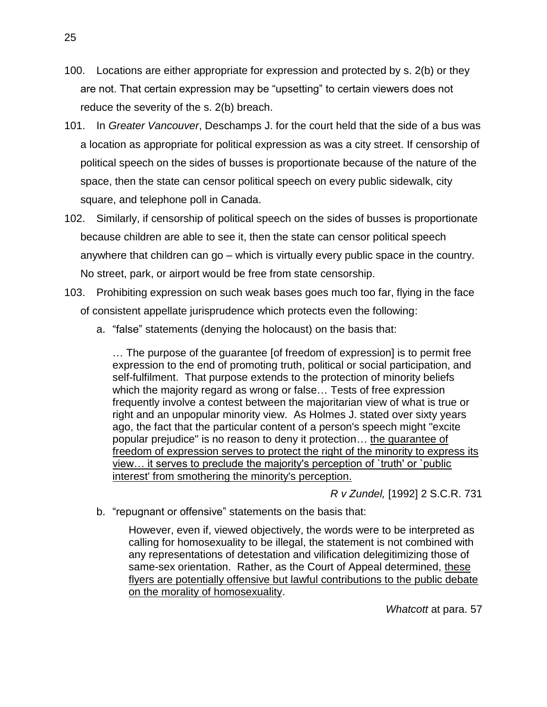- 100. Locations are either appropriate for expression and protected by s. 2(b) or they are not. That certain expression may be "upsetting" to certain viewers does not reduce the severity of the s. 2(b) breach.
- 101. In *Greater Vancouver*, Deschamps J. for the court held that the side of a bus was a location as appropriate for political expression as was a city street. If censorship of political speech on the sides of busses is proportionate because of the nature of the space, then the state can censor political speech on every public sidewalk, city square, and telephone poll in Canada.
- 102. Similarly, if censorship of political speech on the sides of busses is proportionate because children are able to see it, then the state can censor political speech anywhere that children can go – which is virtually every public space in the country. No street, park, or airport would be free from state censorship.
- 103. Prohibiting expression on such weak bases goes much too far, flying in the face of consistent appellate jurisprudence which protects even the following:
	- a. "false" statements (denying the holocaust) on the basis that:

… The purpose of the guarantee [of freedom of expression] is to permit free expression to the end of promoting truth, political or social participation, and self-fulfilment. That purpose extends to the protection of minority beliefs which the majority regard as wrong or false… Tests of free expression frequently involve a contest between the majoritarian view of what is true or right and an unpopular minority view. As Holmes J. stated over sixty years ago, the fact that the particular content of a person's speech might "excite popular prejudice" is no reason to deny it protection… the guarantee of freedom of expression serves to protect the right of the minority to express its view… it serves to preclude the majority's perception of `truth' or `public interest' from smothering the minority's perception.

*R v Zundel,* [1992] 2 S.C.R. 731

b. "repugnant or offensive" statements on the basis that:

However, even if, viewed objectively, the words were to be interpreted as calling for homosexuality to be illegal, the statement is not combined with any representations of detestation and vilification delegitimizing those of same-sex orientation. Rather, as the Court of Appeal determined, these flyers are potentially offensive but lawful contributions to the public debate on the morality of homosexuality.

*Whatcott* at para. 57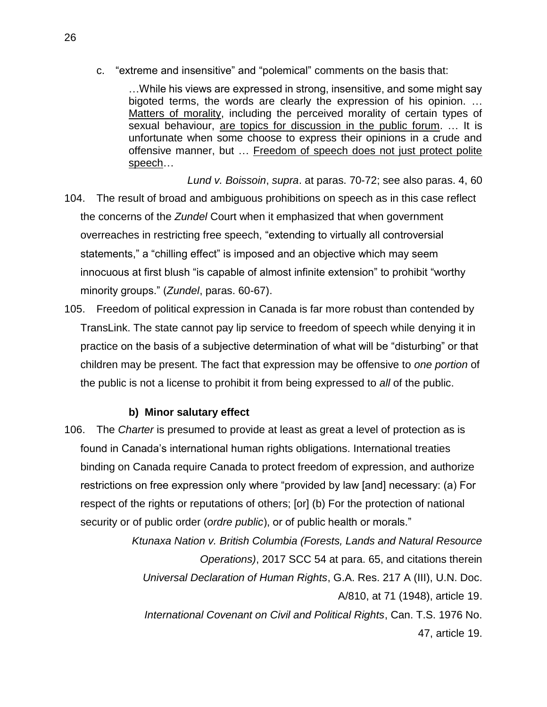c. "extreme and insensitive" and "polemical" comments on the basis that:

…While his views are expressed in strong, insensitive, and some might say bigoted terms, the words are clearly the expression of his opinion. … Matters of morality, including the perceived morality of certain types of sexual behaviour, are topics for discussion in the public forum. … It is unfortunate when some choose to express their opinions in a crude and offensive manner, but … Freedom of speech does not just protect polite speech…

- *Lund v. Boissoin*, *supra*. at paras. 70-72; see also paras. 4, 60 104. The result of broad and ambiguous prohibitions on speech as in this case reflect the concerns of the *Zundel* Court when it emphasized that when government overreaches in restricting free speech, "extending to virtually all controversial statements," a "chilling effect" is imposed and an objective which may seem innocuous at first blush "is capable of almost infinite extension" to prohibit "worthy minority groups." (*Zundel*, paras. 60-67).
- 105. Freedom of political expression in Canada is far more robust than contended by TransLink. The state cannot pay lip service to freedom of speech while denying it in practice on the basis of a subjective determination of what will be "disturbing" or that children may be present. The fact that expression may be offensive to *one portion* of the public is not a license to prohibit it from being expressed to *all* of the public.

# **b) Minor salutary effect**

<span id="page-30-0"></span>106. The *Charter* is presumed to provide at least as great a level of protection as is found in Canada's international human rights obligations. International treaties binding on Canada require Canada to protect freedom of expression, and authorize restrictions on free expression only where "provided by law [and] necessary: (a) For respect of the rights or reputations of others; [or] (b) For the protection of national security or of public order (*ordre public*), or of public health or morals."

> *Ktunaxa Nation v. British Columbia (Forests, Lands and Natural Resource Operations)*, 2017 SCC 54 at para. 65, and citations therein *Universal Declaration of Human Rights*, G.A. Res. 217 A (III), U.N. Doc. A/810, at 71 (1948), article 19. *International Covenant on Civil and Political Rights*, Can. T.S. 1976 No. 47, article 19.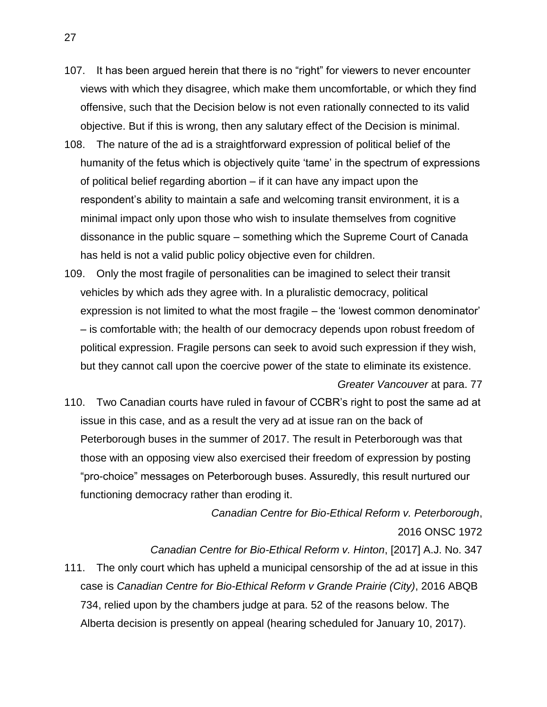- 107. It has been argued herein that there is no "right" for viewers to never encounter views with which they disagree, which make them uncomfortable, or which they find offensive, such that the Decision below is not even rationally connected to its valid objective. But if this is wrong, then any salutary effect of the Decision is minimal.
- 108. The nature of the ad is a straightforward expression of political belief of the humanity of the fetus which is objectively quite 'tame' in the spectrum of expressions of political belief regarding abortion – if it can have any impact upon the respondent's ability to maintain a safe and welcoming transit environment, it is a minimal impact only upon those who wish to insulate themselves from cognitive dissonance in the public square – something which the Supreme Court of Canada has held is not a valid public policy objective even for children.
- 109. Only the most fragile of personalities can be imagined to select their transit vehicles by which ads they agree with. In a pluralistic democracy, political expression is not limited to what the most fragile – the 'lowest common denominator' – is comfortable with; the health of our democracy depends upon robust freedom of political expression. Fragile persons can seek to avoid such expression if they wish, but they cannot call upon the coercive power of the state to eliminate its existence.
- 110. Two Canadian courts have ruled in favour of CCBR's right to post the same ad at issue in this case, and as a result the very ad at issue ran on the back of Peterborough buses in the summer of 2017. The result in Peterborough was that those with an opposing view also exercised their freedom of expression by posting "pro-choice" messages on Peterborough buses. Assuredly, this result nurtured our functioning democracy rather than eroding it.

*Canadian Centre for Bio-Ethical Reform v. Peterborough*, 2016 ONSC 1972

*Greater Vancouver* at para. 77

*Canadian Centre for Bio-Ethical Reform v. Hinton*, [2017] A.J. No. 347

111. The only court which has upheld a municipal censorship of the ad at issue in this case is *Canadian Centre for Bio-Ethical Reform v Grande Prairie (City)*, 2016 ABQB 734, relied upon by the chambers judge at para. 52 of the reasons below. The Alberta decision is presently on appeal (hearing scheduled for January 10, 2017).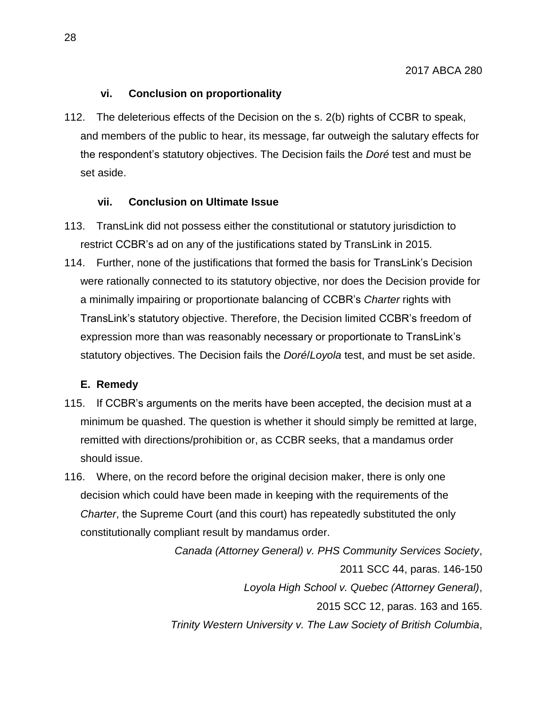# **vi. Conclusion on proportionality**

<span id="page-32-0"></span>112. The deleterious effects of the Decision on the s. 2(b) rights of CCBR to speak, and members of the public to hear, its message, far outweigh the salutary effects for the respondent's statutory objectives. The Decision fails the *Doré* test and must be set aside.

# **vii. Conclusion on Ultimate Issue**

- <span id="page-32-1"></span>113. TransLink did not possess either the constitutional or statutory jurisdiction to restrict CCBR's ad on any of the justifications stated by TransLink in 2015*.*
- 114. Further, none of the justifications that formed the basis for TransLink's Decision were rationally connected to its statutory objective, nor does the Decision provide for a minimally impairing or proportionate balancing of CCBR's *Charter* rights with TransLink's statutory objective. Therefore, the Decision limited CCBR's freedom of expression more than was reasonably necessary or proportionate to TransLink's statutory objectives. The Decision fails the *Doré*/*Loyola* test, and must be set aside.

# <span id="page-32-2"></span>**E. Remedy**

- 115. If CCBR's arguments on the merits have been accepted, the decision must at a minimum be quashed. The question is whether it should simply be remitted at large, remitted with directions/prohibition or, as CCBR seeks, that a mandamus order should issue.
- 116. Where, on the record before the original decision maker, there is only one decision which could have been made in keeping with the requirements of the *Charter*, the Supreme Court (and this court) has repeatedly substituted the only constitutionally compliant result by mandamus order.

*Canada (Attorney General) v. PHS Community Services Society*, 2011 SCC 44, paras. 146-150 *Loyola High School v. Quebec (Attorney General)*, 2015 SCC 12, paras. 163 and 165. *Trinity Western University v. The Law Society of British Columbia*,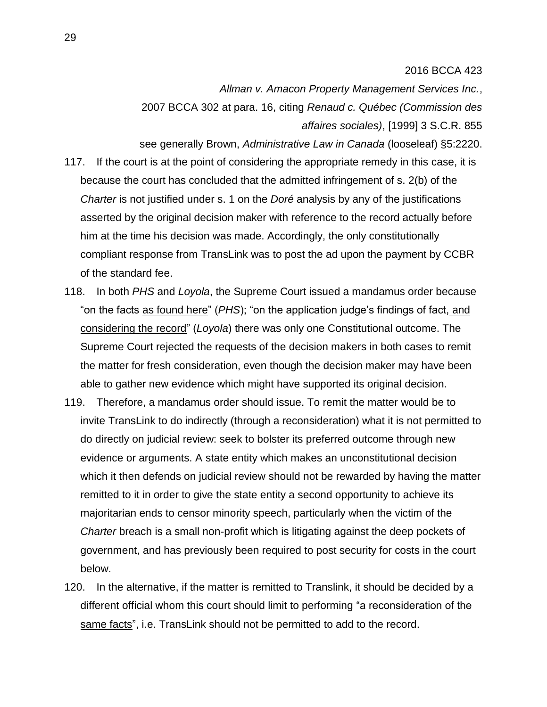#### 2016 BCCA 423

*Allman v. Amacon Property Management Services Inc.*, 2007 BCCA 302 at para. 16, citing *Renaud c. Québec (Commission des affaires sociales)*, [1999] 3 S.C.R. 855

see generally Brown, *Administrative Law in Canada* (looseleaf) §5:2220. 117. If the court is at the point of considering the appropriate remedy in this case, it is because the court has concluded that the admitted infringement of s. 2(b) of the *Charter* is not justified under s. 1 on the *Doré* analysis by any of the justifications asserted by the original decision maker with reference to the record actually before him at the time his decision was made. Accordingly, the only constitutionally compliant response from TransLink was to post the ad upon the payment by CCBR of the standard fee.

- 118. In both *PHS* and *Loyola*, the Supreme Court issued a mandamus order because "on the facts as found here" (*PHS*); "on the application judge's findings of fact, and considering the record" (*Loyola*) there was only one Constitutional outcome. The Supreme Court rejected the requests of the decision makers in both cases to remit the matter for fresh consideration, even though the decision maker may have been able to gather new evidence which might have supported its original decision.
- 119. Therefore, a mandamus order should issue. To remit the matter would be to invite TransLink to do indirectly (through a reconsideration) what it is not permitted to do directly on judicial review: seek to bolster its preferred outcome through new evidence or arguments. A state entity which makes an unconstitutional decision which it then defends on judicial review should not be rewarded by having the matter remitted to it in order to give the state entity a second opportunity to achieve its majoritarian ends to censor minority speech, particularly when the victim of the *Charter* breach is a small non-profit which is litigating against the deep pockets of government, and has previously been required to post security for costs in the court below.
- 120. In the alternative, if the matter is remitted to Translink, it should be decided by a different official whom this court should limit to performing "a reconsideration of the same facts", i.e. TransLink should not be permitted to add to the record.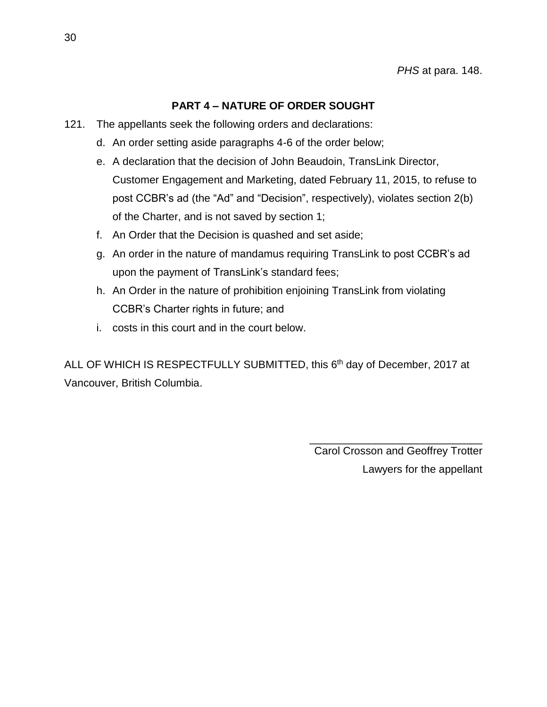# **PART 4 – NATURE OF ORDER SOUGHT**

- <span id="page-34-0"></span>121. The appellants seek the following orders and declarations:
	- d. An order setting aside paragraphs 4-6 of the order below;
	- e. A declaration that the decision of John Beaudoin, TransLink Director, Customer Engagement and Marketing, dated February 11, 2015, to refuse to post CCBR's ad (the "Ad" and "Decision", respectively), violates section 2(b) of the Charter, and is not saved by section 1;
	- f. An Order that the Decision is quashed and set aside;
	- g. An order in the nature of mandamus requiring TransLink to post CCBR's ad upon the payment of TransLink's standard fees;
	- h. An Order in the nature of prohibition enjoining TransLink from violating CCBR's Charter rights in future; and
	- i. costs in this court and in the court below.

ALL OF WHICH IS RESPECTFULLY SUBMITTED, this 6<sup>th</sup> day of December, 2017 at Vancouver, British Columbia.

> \_\_\_\_\_\_\_\_\_\_\_\_\_\_\_\_\_\_\_\_\_\_\_\_\_\_\_\_\_ Carol Crosson and Geoffrey Trotter Lawyers for the appellant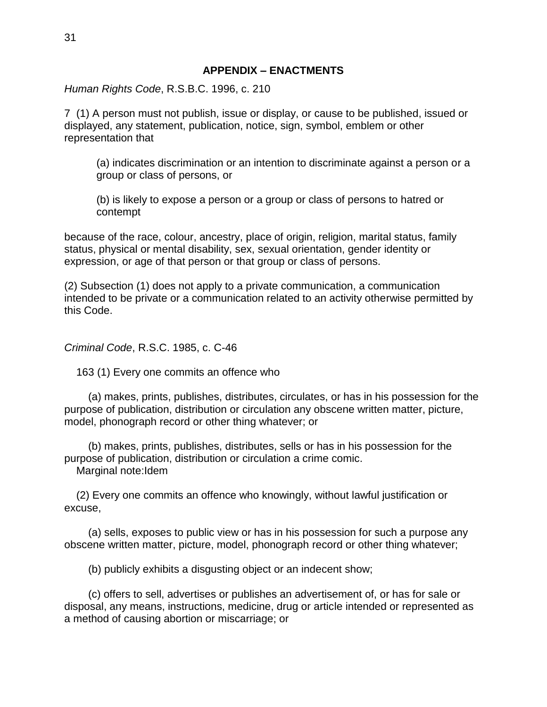<span id="page-35-0"></span>*Human Rights Code*, R.S.B.C. 1996, c. 210

7 (1) A person must not publish, issue or display, or cause to be published, issued or displayed, any statement, publication, notice, sign, symbol, emblem or other representation that

(a) indicates discrimination or an intention to discriminate against a person or a group or class of persons, or

(b) is likely to expose a person or a group or class of persons to hatred or contempt

because of the race, colour, ancestry, place of origin, religion, marital status, family status, physical or mental disability, sex, sexual orientation, gender identity or expression, or age of that person or that group or class of persons.

(2) Subsection (1) does not apply to a private communication, a communication intended to be private or a communication related to an activity otherwise permitted by this Code.

*Criminal Code*, R.S.C. 1985, c. C-46

163 (1) Every one commits an offence who

 (a) makes, prints, publishes, distributes, circulates, or has in his possession for the purpose of publication, distribution or circulation any obscene written matter, picture, model, phonograph record or other thing whatever; or

 (b) makes, prints, publishes, distributes, sells or has in his possession for the purpose of publication, distribution or circulation a crime comic. Marginal note:Idem

 (2) Every one commits an offence who knowingly, without lawful justification or excuse,

 (a) sells, exposes to public view or has in his possession for such a purpose any obscene written matter, picture, model, phonograph record or other thing whatever;

(b) publicly exhibits a disgusting object or an indecent show;

 (c) offers to sell, advertises or publishes an advertisement of, or has for sale or disposal, any means, instructions, medicine, drug or article intended or represented as a method of causing abortion or miscarriage; or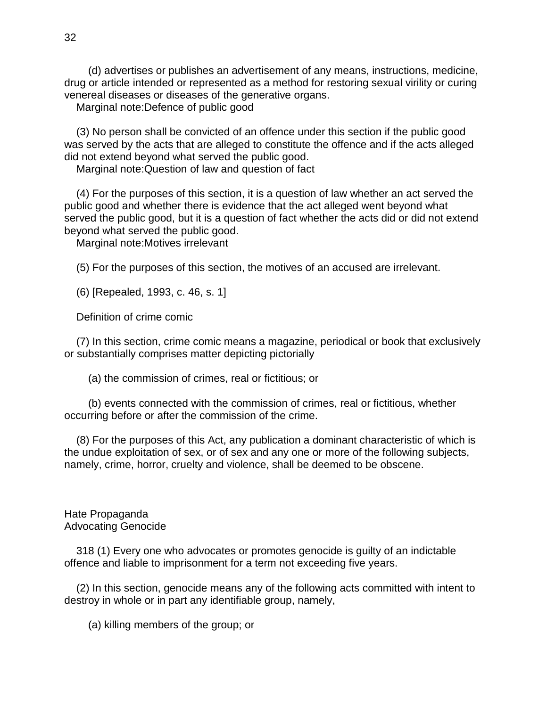(d) advertises or publishes an advertisement of any means, instructions, medicine, drug or article intended or represented as a method for restoring sexual virility or curing venereal diseases or diseases of the generative organs.

Marginal note:Defence of public good

 (3) No person shall be convicted of an offence under this section if the public good was served by the acts that are alleged to constitute the offence and if the acts alleged did not extend beyond what served the public good.

Marginal note:Question of law and question of fact

 (4) For the purposes of this section, it is a question of law whether an act served the public good and whether there is evidence that the act alleged went beyond what served the public good, but it is a question of fact whether the acts did or did not extend beyond what served the public good.

Marginal note:Motives irrelevant

(5) For the purposes of this section, the motives of an accused are irrelevant.

(6) [Repealed, 1993, c. 46, s. 1]

Definition of crime comic

 (7) In this section, crime comic means a magazine, periodical or book that exclusively or substantially comprises matter depicting pictorially

(a) the commission of crimes, real or fictitious; or

 (b) events connected with the commission of crimes, real or fictitious, whether occurring before or after the commission of the crime.

 (8) For the purposes of this Act, any publication a dominant characteristic of which is the undue exploitation of sex, or of sex and any one or more of the following subjects, namely, crime, horror, cruelty and violence, shall be deemed to be obscene.

Hate Propaganda Advocating Genocide

 318 (1) Every one who advocates or promotes genocide is guilty of an indictable offence and liable to imprisonment for a term not exceeding five years.

 (2) In this section, genocide means any of the following acts committed with intent to destroy in whole or in part any identifiable group, namely,

(a) killing members of the group; or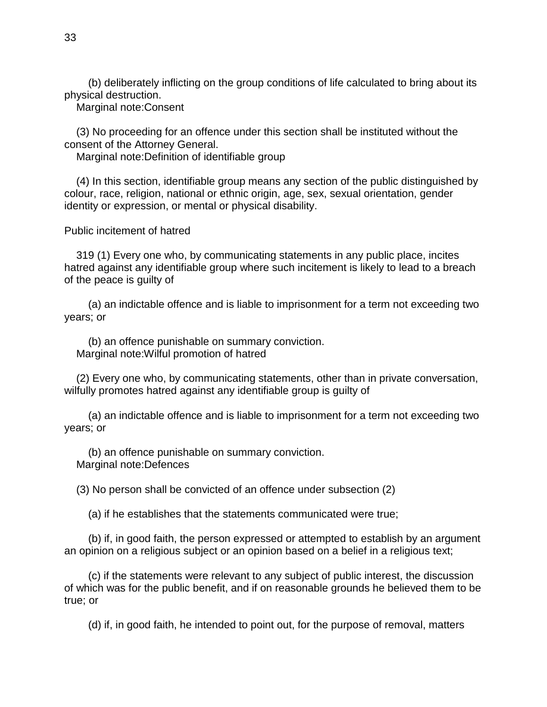(b) deliberately inflicting on the group conditions of life calculated to bring about its physical destruction.

Marginal note:Consent

 (3) No proceeding for an offence under this section shall be instituted without the consent of the Attorney General.

Marginal note:Definition of identifiable group

 (4) In this section, identifiable group means any section of the public distinguished by colour, race, religion, national or ethnic origin, age, sex, sexual orientation, gender identity or expression, or mental or physical disability.

Public incitement of hatred

 319 (1) Every one who, by communicating statements in any public place, incites hatred against any identifiable group where such incitement is likely to lead to a breach of the peace is guilty of

 (a) an indictable offence and is liable to imprisonment for a term not exceeding two years; or

 (b) an offence punishable on summary conviction. Marginal note:Wilful promotion of hatred

 (2) Every one who, by communicating statements, other than in private conversation, wilfully promotes hatred against any identifiable group is guilty of

 (a) an indictable offence and is liable to imprisonment for a term not exceeding two years; or

 (b) an offence punishable on summary conviction. Marginal note:Defences

(3) No person shall be convicted of an offence under subsection (2)

(a) if he establishes that the statements communicated were true;

 (b) if, in good faith, the person expressed or attempted to establish by an argument an opinion on a religious subject or an opinion based on a belief in a religious text;

 (c) if the statements were relevant to any subject of public interest, the discussion of which was for the public benefit, and if on reasonable grounds he believed them to be true; or

(d) if, in good faith, he intended to point out, for the purpose of removal, matters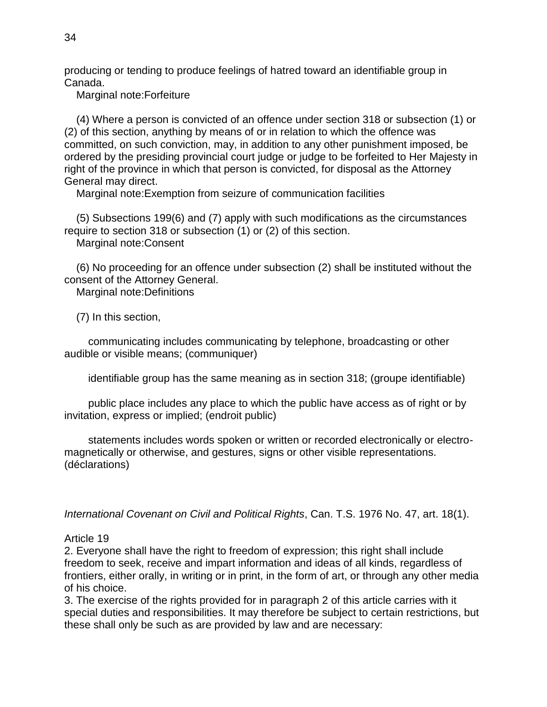producing or tending to produce feelings of hatred toward an identifiable group in Canada.

Marginal note:Forfeiture

 (4) Where a person is convicted of an offence under section 318 or subsection (1) or (2) of this section, anything by means of or in relation to which the offence was committed, on such conviction, may, in addition to any other punishment imposed, be ordered by the presiding provincial court judge or judge to be forfeited to Her Majesty in right of the province in which that person is convicted, for disposal as the Attorney General may direct.

Marginal note:Exemption from seizure of communication facilities

 (5) Subsections 199(6) and (7) apply with such modifications as the circumstances require to section 318 or subsection (1) or (2) of this section. Marginal note:Consent

 (6) No proceeding for an offence under subsection (2) shall be instituted without the consent of the Attorney General.

Marginal note:Definitions

(7) In this section,

 communicating includes communicating by telephone, broadcasting or other audible or visible means; (communiquer)

identifiable group has the same meaning as in section 318; (groupe identifiable)

 public place includes any place to which the public have access as of right or by invitation, express or implied; (endroit public)

 statements includes words spoken or written or recorded electronically or electromagnetically or otherwise, and gestures, signs or other visible representations. (déclarations)

*International Covenant on Civil and Political Rights*, Can. T.S. 1976 No. 47, art. 18(1).

# Article 19

2. Everyone shall have the right to freedom of expression; this right shall include freedom to seek, receive and impart information and ideas of all kinds, regardless of frontiers, either orally, in writing or in print, in the form of art, or through any other media of his choice.

3. The exercise of the rights provided for in paragraph 2 of this article carries with it special duties and responsibilities. It may therefore be subject to certain restrictions, but these shall only be such as are provided by law and are necessary: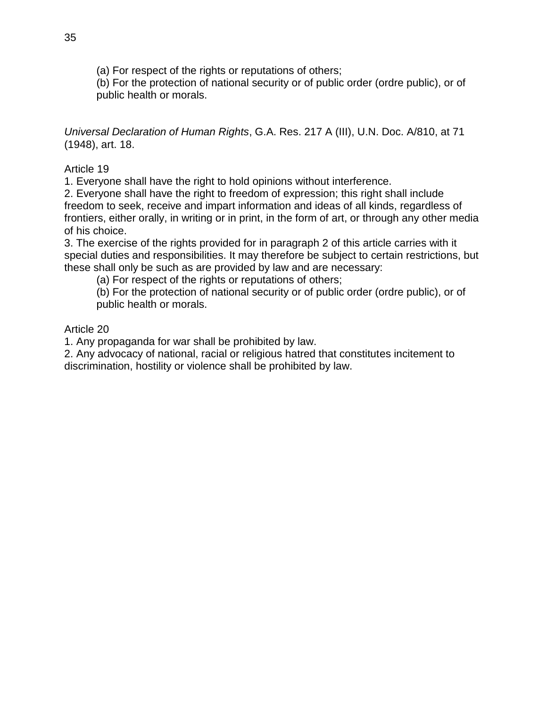(a) For respect of the rights or reputations of others;

(b) For the protection of national security or of public order (ordre public), or of public health or morals.

*Universal Declaration of Human Rights*, G.A. Res. 217 A (III), U.N. Doc. A/810, at 71 (1948), art. 18.

Article 19

1. Everyone shall have the right to hold opinions without interference.

2. Everyone shall have the right to freedom of expression; this right shall include freedom to seek, receive and impart information and ideas of all kinds, regardless of frontiers, either orally, in writing or in print, in the form of art, or through any other media of his choice.

3. The exercise of the rights provided for in paragraph 2 of this article carries with it special duties and responsibilities. It may therefore be subject to certain restrictions, but these shall only be such as are provided by law and are necessary:

(a) For respect of the rights or reputations of others;

(b) For the protection of national security or of public order (ordre public), or of public health or morals.

Article 20

1. Any propaganda for war shall be prohibited by law.

2. Any advocacy of national, racial or religious hatred that constitutes incitement to discrimination, hostility or violence shall be prohibited by law.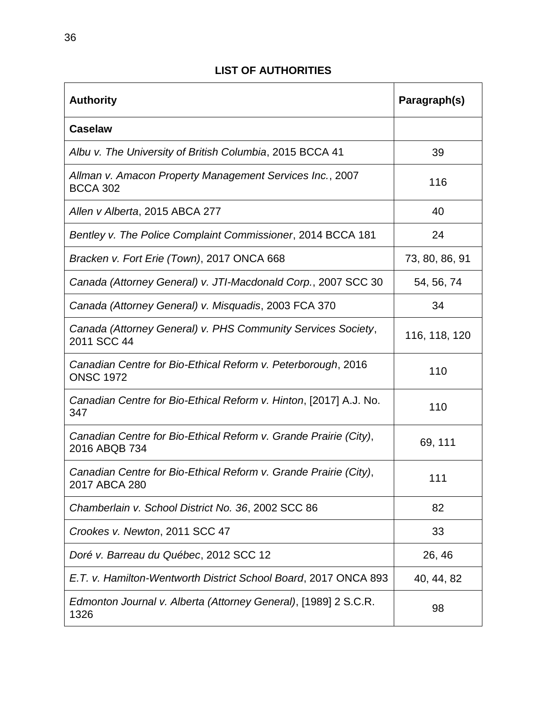# **LIST OF AUTHORITIES**

<span id="page-40-0"></span>

| <b>Authority</b>                                                                  | Paragraph(s)   |
|-----------------------------------------------------------------------------------|----------------|
| <b>Caselaw</b>                                                                    |                |
| Albu v. The University of British Columbia, 2015 BCCA 41                          | 39             |
| Allman v. Amacon Property Management Services Inc., 2007<br><b>BCCA 302</b>       | 116            |
| Allen v Alberta, 2015 ABCA 277                                                    | 40             |
| Bentley v. The Police Complaint Commissioner, 2014 BCCA 181                       | 24             |
| Bracken v. Fort Erie (Town), 2017 ONCA 668                                        | 73, 80, 86, 91 |
| Canada (Attorney General) v. JTI-Macdonald Corp., 2007 SCC 30                     | 54, 56, 74     |
| Canada (Attorney General) v. Misquadis, 2003 FCA 370                              | 34             |
| Canada (Attorney General) v. PHS Community Services Society,<br>2011 SCC 44       | 116, 118, 120  |
| Canadian Centre for Bio-Ethical Reform v. Peterborough, 2016<br><b>ONSC 1972</b>  | 110            |
| Canadian Centre for Bio-Ethical Reform v. Hinton, [2017] A.J. No.<br>347          | 110            |
| Canadian Centre for Bio-Ethical Reform v. Grande Prairie (City),<br>2016 ABQB 734 | 69, 111        |
| Canadian Centre for Bio-Ethical Reform v. Grande Prairie (City),<br>2017 ABCA 280 | 111            |
| Chamberlain v. School District No. 36, 2002 SCC 86                                | 82             |
| Crookes v. Newton, 2011 SCC 47                                                    | 33             |
| Doré v. Barreau du Québec, 2012 SCC 12                                            | 26, 46         |
| E.T. v. Hamilton-Wentworth District School Board, 2017 ONCA 893                   | 40, 44, 82     |
| Edmonton Journal v. Alberta (Attorney General), [1989] 2 S.C.R.<br>1326           | 98             |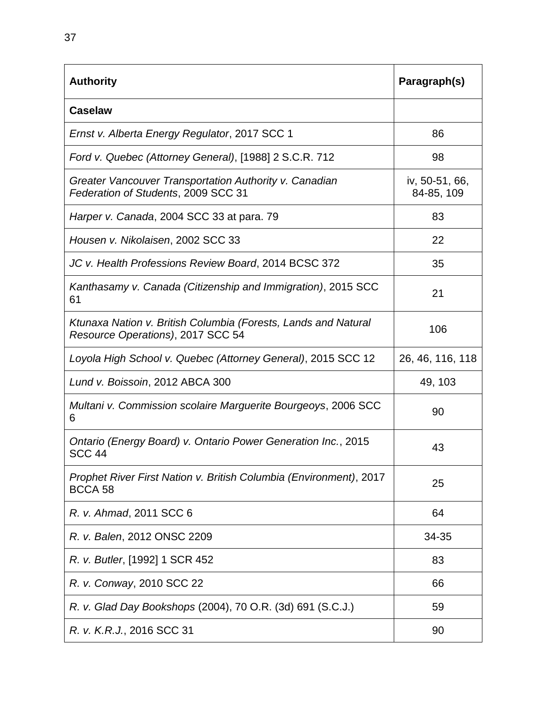| <b>Authority</b>                                                                                    | Paragraph(s)                 |
|-----------------------------------------------------------------------------------------------------|------------------------------|
| Caselaw                                                                                             |                              |
| Ernst v. Alberta Energy Regulator, 2017 SCC 1                                                       | 86                           |
| Ford v. Quebec (Attorney General), [1988] 2 S.C.R. 712                                              | 98                           |
| Greater Vancouver Transportation Authority v. Canadian<br>Federation of Students, 2009 SCC 31       | iv, 50-51, 66,<br>84-85, 109 |
| Harper v. Canada, 2004 SCC 33 at para. 79                                                           | 83                           |
| Housen v. Nikolaisen, 2002 SCC 33                                                                   | 22                           |
| JC v. Health Professions Review Board, 2014 BCSC 372                                                | 35                           |
| Kanthasamy v. Canada (Citizenship and Immigration), 2015 SCC<br>61                                  | 21                           |
| Ktunaxa Nation v. British Columbia (Forests, Lands and Natural<br>Resource Operations), 2017 SCC 54 | 106                          |
| Loyola High School v. Quebec (Attorney General), 2015 SCC 12                                        | 26, 46, 116, 118             |
| Lund v. Boissoin, 2012 ABCA 300                                                                     | 49, 103                      |
| Multani v. Commission scolaire Marguerite Bourgeoys, 2006 SCC<br>6                                  | 90                           |
| Ontario (Energy Board) v. Ontario Power Generation Inc., 2015<br><b>SCC 44</b>                      | 43                           |
| Prophet River First Nation v. British Columbia (Environment), 2017<br>BCCA 58                       | 25                           |
| R. v. Ahmad, 2011 SCC 6                                                                             | 64                           |
| R. v. Balen, 2012 ONSC 2209                                                                         | 34-35                        |
| R. v. Butler, [1992] 1 SCR 452                                                                      | 83                           |
| R. v. Conway, 2010 SCC 22                                                                           | 66                           |
| R. v. Glad Day Bookshops (2004), 70 O.R. (3d) 691 (S.C.J.)                                          | 59                           |
| R. v. K.R.J., 2016 SCC 31                                                                           | 90                           |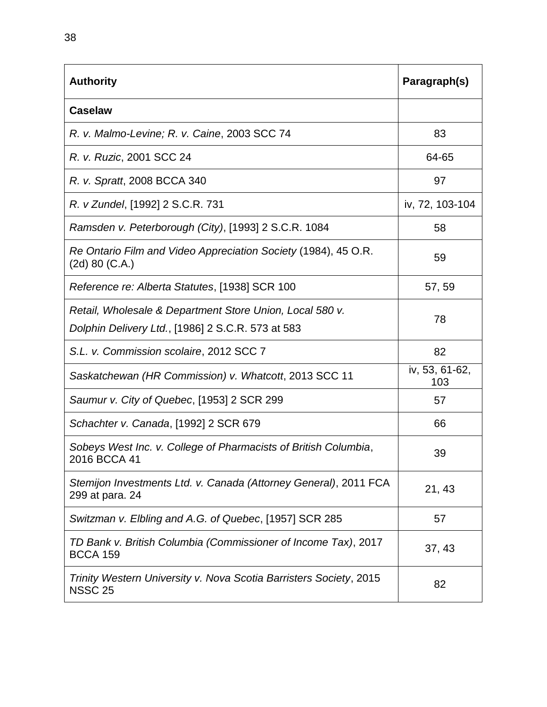| <b>Authority</b>                                                                                              | Paragraph(s)          |
|---------------------------------------------------------------------------------------------------------------|-----------------------|
| <b>Caselaw</b>                                                                                                |                       |
| R. v. Malmo-Levine; R. v. Caine, 2003 SCC 74                                                                  | 83                    |
| R. v. Ruzic, 2001 SCC 24                                                                                      | 64-65                 |
| R. v. Spratt, 2008 BCCA 340                                                                                   | 97                    |
| R. v Zundel, [1992] 2 S.C.R. 731                                                                              | iv, 72, 103-104       |
| Ramsden v. Peterborough (City), [1993] 2 S.C.R. 1084                                                          | 58                    |
| Re Ontario Film and Video Appreciation Society (1984), 45 O.R.<br>$(2d)$ 80 $(C.A.)$                          | 59                    |
| Reference re: Alberta Statutes, [1938] SCR 100                                                                | 57,59                 |
| Retail, Wholesale & Department Store Union, Local 580 v.<br>Dolphin Delivery Ltd., [1986] 2 S.C.R. 573 at 583 | 78                    |
| S.L. v. Commission scolaire, 2012 SCC 7                                                                       | 82                    |
| Saskatchewan (HR Commission) v. Whatcott, 2013 SCC 11                                                         | iv, 53, 61-62,<br>103 |
| Saumur v. City of Quebec, [1953] 2 SCR 299                                                                    | 57                    |
| Schachter v. Canada, [1992] 2 SCR 679                                                                         | 66                    |
| Sobeys West Inc. v. College of Pharmacists of British Columbia,<br>2016 BCCA 41                               | 39                    |
| Stemijon Investments Ltd. v. Canada (Attorney General), 2011 FCA<br>299 at para. 24                           | 21, 43                |
| Switzman v. Elbling and A.G. of Quebec, [1957] SCR 285                                                        | 57                    |
| TD Bank v. British Columbia (Commissioner of Income Tax), 2017<br><b>BCCA 159</b>                             | 37,43                 |
| Trinity Western University v. Nova Scotia Barristers Society, 2015<br><b>NSSC 25</b>                          | 82                    |